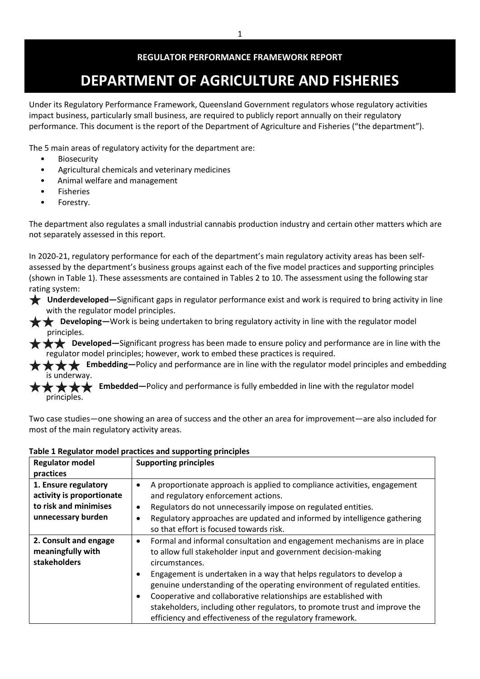# **DEPARTMENT OF AGRICULTURE AND FISHERIES**

Under its Regulatory Performance Framework, Queensland Government regulators whose regulatory activities impact business, particularly small business, are required to publicly report annually on their regulatory performance. This document is the report of the Department of Agriculture and Fisheries ("the department").

The 5 main areas of regulatory activity for the department are:

- Biosecurity
- Agricultural chemicals and veterinary medicines
- Animal welfare and management
- **Fisheries**
- Forestry.

The department also regulates a small industrial cannabis production industry and certain other matters which are not separately assessed in this report.

In 2020-21, regulatory performance for each of the department's main regulatory activity areas has been selfassessed by the department's business groups against each of the five model practices and supporting principles (shown in Table 1). These assessments are contained in Tables 2 to 10. The assessment using the following star rating system:

- **Underdeveloped—**Significant gaps in regulator performance exist and work is required to bring activity in line with the regulator model principles.
- **L Developing**—Work is being undertaken to bring regulatory activity in line with the regulator model principles.
- **★ ★ ★** Developed—Significant progress has been made to ensure policy and performance are in line with the regulator model principles; however, work to embed these practices is required.
- **Embedding**—Policy and performance are in line with the regulator model principles and embedding is underway.

**★ ★ ★ Embedded**—Policy and performance is fully embedded in line with the regulator model principles.

Two case studies—one showing an area of success and the other an area for improvement—are also included for most of the main regulatory activity areas.

| <b>Regulator model</b>    | <b>Supporting principles</b>                                                          |
|---------------------------|---------------------------------------------------------------------------------------|
| practices                 |                                                                                       |
| 1. Ensure regulatory      | A proportionate approach is applied to compliance activities, engagement<br>$\bullet$ |
| activity is proportionate | and regulatory enforcement actions.                                                   |
| to risk and minimises     | Regulators do not unnecessarily impose on regulated entities.<br>٠                    |
| unnecessary burden        | Regulatory approaches are updated and informed by intelligence gathering              |
|                           | so that effort is focused towards risk.                                               |
| 2. Consult and engage     | Formal and informal consultation and engagement mechanisms are in place<br>$\bullet$  |
| meaningfully with         | to allow full stakeholder input and government decision-making                        |
| stakeholders              | circumstances.                                                                        |
|                           | Engagement is undertaken in a way that helps regulators to develop a<br>٠             |
|                           | genuine understanding of the operating environment of regulated entities.             |
|                           | Cooperative and collaborative relationships are established with<br>$\bullet$         |
|                           | stakeholders, including other regulators, to promote trust and improve the            |
|                           | efficiency and effectiveness of the regulatory framework.                             |

# **Table 1 Regulator model practices and supporting principles**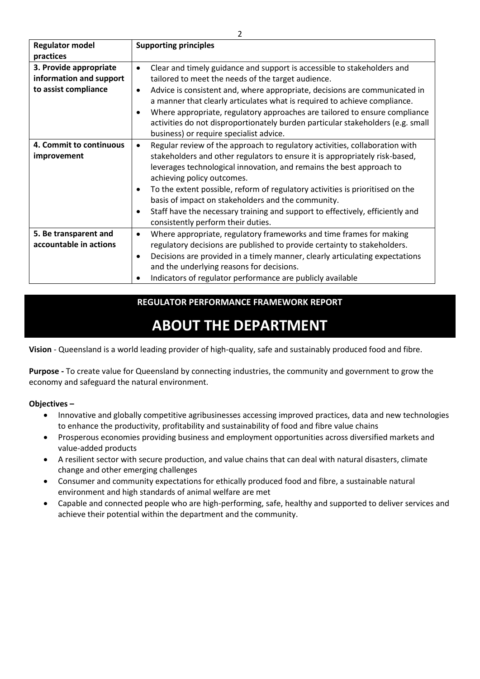| <b>Regulator model</b>  | <b>Supporting principles</b>                                                               |
|-------------------------|--------------------------------------------------------------------------------------------|
| practices               |                                                                                            |
| 3. Provide appropriate  | Clear and timely guidance and support is accessible to stakeholders and<br>$\bullet$       |
| information and support | tailored to meet the needs of the target audience.                                         |
| to assist compliance    | Advice is consistent and, where appropriate, decisions are communicated in<br>٠            |
|                         | a manner that clearly articulates what is required to achieve compliance.                  |
|                         | Where appropriate, regulatory approaches are tailored to ensure compliance<br>$\bullet$    |
|                         | activities do not disproportionately burden particular stakeholders (e.g. small            |
|                         | business) or require specialist advice.                                                    |
| 4. Commit to continuous | Regular review of the approach to regulatory activities, collaboration with<br>$\bullet$   |
| improvement             | stakeholders and other regulators to ensure it is appropriately risk-based,                |
|                         | leverages technological innovation, and remains the best approach to                       |
|                         | achieving policy outcomes.                                                                 |
|                         | To the extent possible, reform of regulatory activities is prioritised on the<br>$\bullet$ |
|                         | basis of impact on stakeholders and the community.                                         |
|                         | Staff have the necessary training and support to effectively, efficiently and<br>٠         |
|                         | consistently perform their duties.                                                         |
| 5. Be transparent and   | Where appropriate, regulatory frameworks and time frames for making<br>$\bullet$           |
| accountable in actions  | regulatory decisions are published to provide certainty to stakeholders.                   |
|                         | Decisions are provided in a timely manner, clearly articulating expectations               |
|                         | ٠                                                                                          |
|                         | and the underlying reasons for decisions.                                                  |
|                         | Indicators of regulator performance are publicly available                                 |

# **ABOUT THE DEPARTMENT**

**Vision** - Queensland is a world leading provider of high-quality, safe and sustainably produced food and fibre.

**Purpose -** To create value for Queensland by connecting industries, the community and government to grow the economy and safeguard the natural environment.

**Objectives –**

- Innovative and globally competitive agribusinesses accessing improved practices, data and new technologies to enhance the productivity, profitability and sustainability of food and fibre value chains
- Prosperous economies providing business and employment opportunities across diversified markets and value-added products
- A resilient sector with secure production, and value chains that can deal with natural disasters, climate change and other emerging challenges
- Consumer and community expectations for ethically produced food and fibre, a sustainable natural environment and high standards of animal welfare are met
- Capable and connected people who are high-performing, safe, healthy and supported to deliver services and achieve their potential within the department and the community.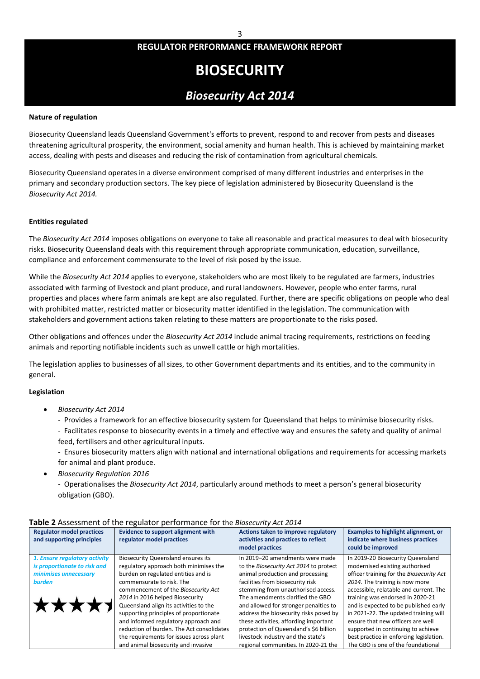# **BIOSECURITY**

# *Biosecurity Act 2014*

#### **Nature of regulation**

Biosecurity Queensland leads Queensland Government's efforts to prevent, respond to and recover from pests and diseases threatening agricultural prosperity, the environment, social amenity and human health. This is achieved by maintaining market access, dealing with pests and diseases and reducing the risk of contamination from agricultural chemicals.

Biosecurity Queensland operates in a diverse environment comprised of many different industries and enterprises in the primary and secondary production sectors. The key piece of legislation administered by Biosecurity Queensland is the *Biosecurity Act 2014.*

#### **Entities regulated**

The *Biosecurity Act 2014* imposes obligations on everyone to take all reasonable and practical measures to deal with biosecurity risks. Biosecurity Queensland deals with this requirement through appropriate communication, education, surveillance, compliance and enforcement commensurate to the level of risk posed by the issue.

While the *Biosecurity Act 2014* applies to everyone, stakeholders who are most likely to be regulated are farmers, industries associated with farming of livestock and plant produce, and rural landowners. However, people who enter farms, rural properties and places where farm animals are kept are also regulated. Further, there are specific obligations on people who deal with prohibited matter, restricted matter or biosecurity matter identified in the legislation. The communication with stakeholders and government actions taken relating to these matters are proportionate to the risks posed.

Other obligations and offences under the *Biosecurity Act 2014* include animal tracing requirements, restrictions on feeding animals and reporting notifiable incidents such as unwell cattle or high mortalities.

The legislation applies to businesses of all sizes, to other Government departments and its entities, and to the community in general.

#### **Legislation**

- *Biosecurity Act 2014*
	- Provides a framework for an effective biosecurity system for Queensland that helps to minimise biosecurity risks.
	- Facilitates response to biosecurity events in a timely and effective way and ensures the safety and quality of animal feed, fertilisers and other agricultural inputs.

- Ensures biosecurity matters align with national and international obligations and requirements for accessing markets for animal and plant produce.

• *Biosecurity Regulation 2016*

- Operationalises the *Biosecurity Act 2014*, particularly around methods to meet a person's general biosecurity obligation (GBO).

| <b>Regulator model practices</b><br>and supporting principles                                                    | <b>Evidence to support alignment with</b><br>regulator model practices                                                                                                                                                                                                                                                                                                                                                                                                                        | Actions taken to improve regulatory<br>activities and practices to reflect<br>model practices                                                                                                                                                                                                                                                                                                                                                                                   | Examples to highlight alignment, or<br>indicate where business practices<br>could be improved                                                                                                                                                                                                                                                                                                                                                                                 |
|------------------------------------------------------------------------------------------------------------------|-----------------------------------------------------------------------------------------------------------------------------------------------------------------------------------------------------------------------------------------------------------------------------------------------------------------------------------------------------------------------------------------------------------------------------------------------------------------------------------------------|---------------------------------------------------------------------------------------------------------------------------------------------------------------------------------------------------------------------------------------------------------------------------------------------------------------------------------------------------------------------------------------------------------------------------------------------------------------------------------|-------------------------------------------------------------------------------------------------------------------------------------------------------------------------------------------------------------------------------------------------------------------------------------------------------------------------------------------------------------------------------------------------------------------------------------------------------------------------------|
| 1. Ensure regulatory activity<br>is proportionate to risk and<br>minimises unnecessary<br><b>burden</b><br>***** | <b>Biosecurity Queensland ensures its</b><br>regulatory approach both minimises the<br>burden on regulated entities and is<br>commensurate to risk. The<br>commencement of the Biosecurity Act<br>2014 in 2016 helped Biosecurity<br>Queensland align its activities to the<br>supporting principles of proportionate<br>and informed regulatory approach and<br>reduction of burden. The Act consolidates<br>the requirements for issues across plant<br>and animal biosecurity and invasive | In 2019-20 amendments were made<br>to the Biosecurity Act 2014 to protect<br>animal production and processing<br>facilities from biosecurity risk<br>stemming from unauthorised access.<br>The amendments clarified the GBO<br>and allowed for stronger penalties to<br>address the biosecurity risks posed by<br>these activities, affording important<br>protection of Queensland's \$6 billion<br>livestock industry and the state's<br>regional communities. In 2020-21 the | In 2019-20 Biosecurity Queensland<br>modernised existing authorised<br>officer training for the Biosecurity Act<br>2014. The training is now more<br>accessible, relatable and current. The<br>training was endorsed in 2020-21<br>and is expected to be published early<br>in 2021-22. The updated training will<br>ensure that new officers are well<br>supported in continuing to achieve<br>best practice in enforcing legislation.<br>The GBO is one of the foundational |

### **Table 2** Assessment of the regulator performance for the *Biosecurity Act 2014*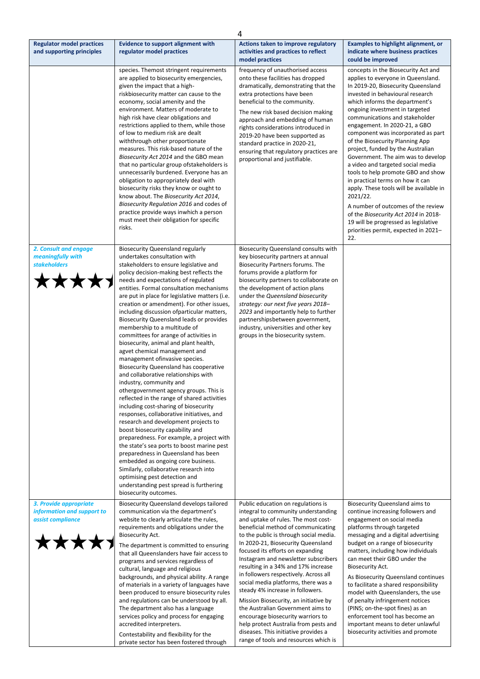|                                                                                         |                                                                                                                                                                                                                                                                                                                                                                                                                                                                                                                                                                                                                                                                                                                                                                                                                                                                                                                                                                                                                                                                                                                                                                                                                                                                                                                                         | 4                                                                                                                                                                                                                                                                                                                                                                                                                                                                                                                                                                                                                                                                                                                          |                                                                                                                                                                                                                                                                                                                                                                                                                                                                                                                                                                                                                                                                                                                                                                                                                |
|-----------------------------------------------------------------------------------------|-----------------------------------------------------------------------------------------------------------------------------------------------------------------------------------------------------------------------------------------------------------------------------------------------------------------------------------------------------------------------------------------------------------------------------------------------------------------------------------------------------------------------------------------------------------------------------------------------------------------------------------------------------------------------------------------------------------------------------------------------------------------------------------------------------------------------------------------------------------------------------------------------------------------------------------------------------------------------------------------------------------------------------------------------------------------------------------------------------------------------------------------------------------------------------------------------------------------------------------------------------------------------------------------------------------------------------------------|----------------------------------------------------------------------------------------------------------------------------------------------------------------------------------------------------------------------------------------------------------------------------------------------------------------------------------------------------------------------------------------------------------------------------------------------------------------------------------------------------------------------------------------------------------------------------------------------------------------------------------------------------------------------------------------------------------------------------|----------------------------------------------------------------------------------------------------------------------------------------------------------------------------------------------------------------------------------------------------------------------------------------------------------------------------------------------------------------------------------------------------------------------------------------------------------------------------------------------------------------------------------------------------------------------------------------------------------------------------------------------------------------------------------------------------------------------------------------------------------------------------------------------------------------|
| <b>Regulator model practices</b><br>and supporting principles                           | <b>Evidence to support alignment with</b><br>regulator model practices                                                                                                                                                                                                                                                                                                                                                                                                                                                                                                                                                                                                                                                                                                                                                                                                                                                                                                                                                                                                                                                                                                                                                                                                                                                                  | Actions taken to improve regulatory<br>activities and practices to reflect                                                                                                                                                                                                                                                                                                                                                                                                                                                                                                                                                                                                                                                 | <b>Examples to highlight alignment, or</b><br>indicate where business practices                                                                                                                                                                                                                                                                                                                                                                                                                                                                                                                                                                                                                                                                                                                                |
|                                                                                         | species. Themost stringent requirements<br>are applied to biosecurity emergencies,<br>given the impact that a high-<br>riskbiosecurity matter can cause to the<br>economy, social amenity and the<br>environment. Matters of moderate to<br>high risk have clear obligations and<br>restrictions applied to them, while those<br>of low to medium risk are dealt<br>withthrough other proportionate<br>measures. This risk-based nature of the<br>Biosecurity Act 2014 and the GBO mean<br>that no particular group of stake holders is<br>unnecessarily burdened. Everyone has an<br>obligation to appropriately deal with<br>biosecurity risks they know or ought to<br>know about. The Biosecurity Act 2014,<br>Biosecurity Regulation 2016 and codes of<br>practice provide ways inwhich a person<br>must meet their obligation for specific<br>risks.                                                                                                                                                                                                                                                                                                                                                                                                                                                                              | model practices<br>frequency of unauthorised access<br>onto these facilities has dropped<br>dramatically, demonstrating that the<br>extra protections have been<br>beneficial to the community.<br>The new risk based decision making<br>approach and embedding of human<br>rights considerations introduced in<br>2019-20 have been supported as<br>standard practice in 2020-21,<br>ensuring that regulatory practices are<br>proportional and justifiable.                                                                                                                                                                                                                                                              | could be improved<br>concepts in the Biosecurity Act and<br>applies to everyone in Queensland.<br>In 2019-20, Biosecurity Queensland<br>invested in behavioural research<br>which informs the department's<br>ongoing investment in targeted<br>communications and stakeholder<br>engagement. In 2020-21, a GBO<br>component was incorporated as part<br>of the Biosecurity Planning App<br>project, funded by the Australian<br>Government. The aim was to develop<br>a video and targeted social media<br>tools to help promote GBO and show<br>in practical terms on how it can<br>apply. These tools will be available in<br>2021/22.<br>A number of outcomes of the review<br>of the Biosecurity Act 2014 in 2018-<br>19 will be progressed as legislative<br>priorities permit, expected in 2021-<br>22. |
| 2. Consult and engage<br>meaningfully with<br><b>stakeholders</b><br><b>****</b>        | <b>Biosecurity Queensland regularly</b><br>undertakes consultation with<br>stakeholders to ensure legislative and<br>policy decision-making best reflects the<br>needs and expectations of regulated<br>entities. Formal consultation mechanisms<br>are put in place for legislative matters (i.e.<br>creation or amendment). For other issues,<br>including discussion of particular matters,<br>Biosecurity Queensland leads or provides<br>membership to a multitude of<br>committees for arange of activities in<br>biosecurity, animal and plant health,<br>agvet chemical management and<br>management of invasive species.<br><b>Biosecurity Queensland has cooperative</b><br>and collaborative relationships with<br>industry, community and<br>othergovernment agency groups. This is<br>reflected in the range of shared activities<br>including cost-sharing of biosecurity<br>responses, collaborative initiatives, and<br>research and development projects to<br>boost biosecurity capability and<br>preparedness. For example, a project with<br>the state's sea ports to boost marine pest<br>preparedness in Queensland has been<br>embedded as ongoing core business.<br>Similarly, collaborative research into<br>optimising pest detection and<br>understanding pest spread is furthering<br>biosecurity outcomes. | Biosecurity Queensland consults with<br>key biosecurity partners at annual<br>Biosecurity Partners forums. The<br>forums provide a platform for<br>biosecurity partners to collaborate on<br>the development of action plans<br>under the Queensland biosecurity<br>strategy: our next five years 2018-<br>2023 and importantly help to further<br>partnershipsbetween government,<br>industry, universities and other key<br>groups in the biosecurity system.                                                                                                                                                                                                                                                            |                                                                                                                                                                                                                                                                                                                                                                                                                                                                                                                                                                                                                                                                                                                                                                                                                |
| 3. Provide appropriate<br>information and support to<br>assist compliance<br><b>***</b> | <b>Biosecurity Queensland develops tailored</b><br>communication via the department's<br>website to clearly articulate the rules,<br>requirements and obligations under the<br><b>Biosecurity Act.</b><br>The department is committed to ensuring<br>that all Queenslanders have fair access to<br>programs and services regardless of<br>cultural, language and religious<br>backgrounds, and physical ability. A range<br>of materials in a variety of languages have<br>been produced to ensure biosecurity rules<br>and regulations can be understood by all.<br>The department also has a language<br>services policy and process for engaging<br>accredited interpreters.<br>Contestability and flexibility for the<br>private sector has been fostered through                                                                                                                                                                                                                                                                                                                                                                                                                                                                                                                                                                   | Public education on regulations is<br>integral to community understanding<br>and uptake of rules. The most cost-<br>beneficial method of communicating<br>to the public is through social media.<br>In 2020-21, Biosecurity Queensland<br>focused its efforts on expanding<br>Instagram and newsletter subscribers<br>resulting in a 34% and 17% increase<br>in followers respectively. Across all<br>social media platforms, there was a<br>steady 4% increase in followers.<br>Mission Biosecurity, an initiative by<br>the Australian Government aims to<br>encourage biosecurity warriors to<br>help protect Australia from pests and<br>diseases. This initiative provides a<br>range of tools and resources which is | Biosecurity Queensland aims to<br>continue increasing followers and<br>engagement on social media<br>platforms through targeted<br>messaging and a digital advertising<br>budget on a range of biosecurity<br>matters, including how individuals<br>can meet their GBO under the<br><b>Biosecurity Act.</b><br>As Biosecurity Queensland continues<br>to facilitate a shared responsibility<br>model with Queenslanders, the use<br>of penalty infringement notices<br>(PINS; on-the-spot fines) as an<br>enforcement tool has become an<br>important means to deter unlawful<br>biosecurity activities and promote                                                                                                                                                                                            |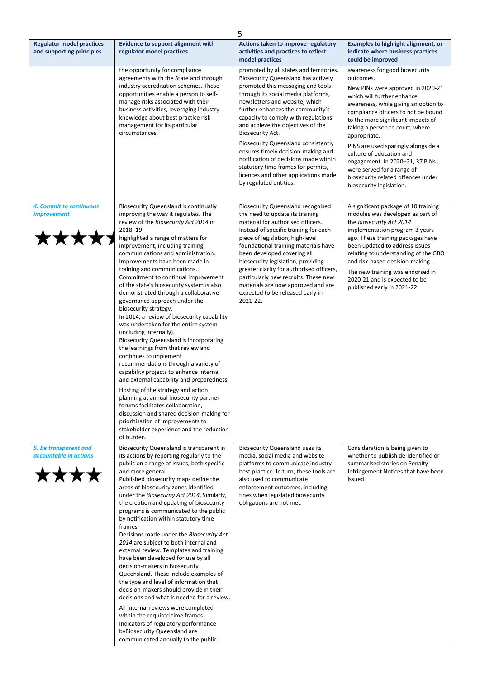|                                                                |                                                                                                                                                                                                                                                                                                                                                                                                                                                                                                                                                                                                                                                                                                                                                                                                                                                                                                                                                                                                                                                                                                                                               | 5                                                                                                                                                                                                                                                                                                                                                                                                                                                                                                                                                                            |                                                                                                                                                                                                                                                                                                                                                                                                                                                                                              |
|----------------------------------------------------------------|-----------------------------------------------------------------------------------------------------------------------------------------------------------------------------------------------------------------------------------------------------------------------------------------------------------------------------------------------------------------------------------------------------------------------------------------------------------------------------------------------------------------------------------------------------------------------------------------------------------------------------------------------------------------------------------------------------------------------------------------------------------------------------------------------------------------------------------------------------------------------------------------------------------------------------------------------------------------------------------------------------------------------------------------------------------------------------------------------------------------------------------------------|------------------------------------------------------------------------------------------------------------------------------------------------------------------------------------------------------------------------------------------------------------------------------------------------------------------------------------------------------------------------------------------------------------------------------------------------------------------------------------------------------------------------------------------------------------------------------|----------------------------------------------------------------------------------------------------------------------------------------------------------------------------------------------------------------------------------------------------------------------------------------------------------------------------------------------------------------------------------------------------------------------------------------------------------------------------------------------|
| <b>Regulator model practices</b><br>and supporting principles  | <b>Evidence to support alignment with</b><br>regulator model practices                                                                                                                                                                                                                                                                                                                                                                                                                                                                                                                                                                                                                                                                                                                                                                                                                                                                                                                                                                                                                                                                        | Actions taken to improve regulatory<br>activities and practices to reflect                                                                                                                                                                                                                                                                                                                                                                                                                                                                                                   | <b>Examples to highlight alignment, or</b><br>indicate where business practices                                                                                                                                                                                                                                                                                                                                                                                                              |
|                                                                |                                                                                                                                                                                                                                                                                                                                                                                                                                                                                                                                                                                                                                                                                                                                                                                                                                                                                                                                                                                                                                                                                                                                               | model practices                                                                                                                                                                                                                                                                                                                                                                                                                                                                                                                                                              | could be improved                                                                                                                                                                                                                                                                                                                                                                                                                                                                            |
|                                                                | the opportunity for compliance<br>agreements with the State and through<br>industry accreditation schemes. These<br>opportunities enable a person to self-<br>manage risks associated with their<br>business activities, leveraging industry<br>knowledge about best practice risk<br>management for its particular<br>circumstances.                                                                                                                                                                                                                                                                                                                                                                                                                                                                                                                                                                                                                                                                                                                                                                                                         | promoted by all states and territories.<br><b>Biosecurity Queensland has actively</b><br>promoted this messaging and tools<br>through its social media platforms,<br>newsletters and website, which<br>further enhances the community's<br>capacity to comply with regulations<br>and achieve the objectives of the<br>Biosecurity Act.<br><b>Biosecurity Queensland consistently</b><br>ensures timely decision-making and<br>notification of decisions made within<br>statutory time frames for permits,<br>licences and other applications made<br>by regulated entities. | awareness for good biosecurity<br>outcomes.<br>New PINs were approved in 2020-21<br>which will further enhance<br>awareness, while giving an option to<br>compliance officers to not be bound<br>to the more significant impacts of<br>taking a person to court, where<br>appropriate.<br>PINS are used sparingly alongside a<br>culture of education and<br>engagement. In 2020-21, 37 PINs<br>were served for a range of<br>biosecurity related offences under<br>biosecurity legislation. |
| 4. Commit to continuous<br><i>improvement</i><br><b>***</b>    | Biosecurity Queensland is continually<br>improving the way it regulates. The<br>review of the Biosecurity Act 2014 in<br>2018-19<br>highlighted a range of matters for<br>improvement, including training,<br>communications and administration.<br>Improvements have been made in<br>training and communications.<br>Commitment to continual improvement<br>of the state's biosecurity system is also<br>demonstrated through a collaborative<br>governance approach under the<br>biosecurity strategy.<br>In 2014, a review of biosecurity capability<br>was undertaken for the entire system<br>(including internally).<br><b>Biosecurity Queensland is incorporating</b><br>the learnings from that review and<br>continues to implement<br>recommendations through a variety of<br>capability projects to enhance internal<br>and external capability and preparedness.<br>Hosting of the strategy and action<br>planning at annual biosecurity partner<br>forums facilitates collaboration,<br>discussion and shared decision-making for<br>prioritisation of improvements to<br>stakeholder experience and the reduction<br>of burden. | <b>Biosecurity Queensland recognised</b><br>the need to update its training<br>material for authorised officers.<br>Instead of specific training for each<br>piece of legislation, high-level<br>foundational training materials have<br>been developed covering all<br>biosecurity legislation, providing<br>greater clarity for authorised officers,<br>particularly new recruits. These new<br>materials are now approved and are<br>expected to be released early in<br>2021-22.                                                                                         | A significant package of 10 training<br>modules was developed as part of<br>the Biosecurity Act 2014<br>implementation program 3 years<br>ago. These training packages have<br>been updated to address issues<br>relating to understanding of the GBO<br>and risk-based decision-making.<br>The new training was endorsed in<br>2020-21 and is expected to be<br>published early in 2021-22.                                                                                                 |
| 5. Be transparent and<br>accountable in actions<br><b>****</b> | Biosecurity Queensland is transparent in<br>its actions by reporting regularly to the<br>public on a range of issues, both specific<br>and more general.<br>Published biosecurity maps define the<br>areas of biosecurity zones identified<br>under the Biosecurity Act 2014. Similarly,<br>the creation and updating of biosecurity<br>programs is communicated to the public<br>by notification within statutory time<br>frames.<br>Decisions made under the Biosecurity Act<br>2014 are subject to both internal and<br>external review. Templates and training<br>have been developed for use by all<br>decision-makers in Biosecurity<br>Queensland. These include examples of<br>the type and level of information that<br>decision-makers should provide in their<br>decisions and what is needed for a review.<br>All internal reviews were completed<br>within the required time frames.<br>Indicators of regulatory performance<br>byBiosecurity Queensland are<br>communicated annually to the public.                                                                                                                             | <b>Biosecurity Queensland uses its</b><br>media, social media and website<br>platforms to communicate industry<br>best practice. In turn, these tools are<br>also used to communicate<br>enforcement outcomes, including<br>fines when legislated biosecurity<br>obligations are not met.                                                                                                                                                                                                                                                                                    | Consideration is being given to<br>whether to publish de-identified or<br>summarised stories on Penalty<br>Infringement Notices that have been<br>issued.                                                                                                                                                                                                                                                                                                                                    |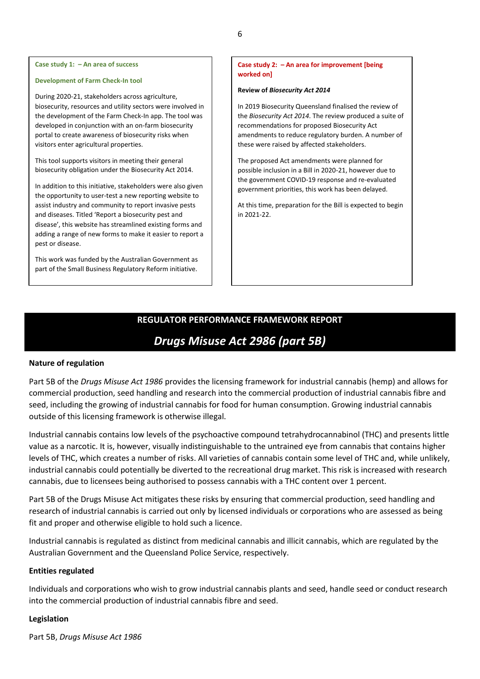#### **Development of Farm Check-In tool**

During 2020-21, stakeholders across agriculture, biosecurity, resources and utility sectors were involved in the development of the Farm Check-In app. The tool was developed in conjunction with an on-farm biosecurity portal to create awareness of biosecurity risks when visitors enter agricultural properties.

This tool supports visitors in meeting their general biosecurity obligation under the Biosecurity Act 2014.

In addition to this initiative, stakeholders were also given the opportunity to user-test a new reporting website to assist industry and community to report invasive pests and diseases. Titled 'Report a biosecurity pest and disease', this website has streamlined existing forms and adding a range of new forms to make it easier to report a pest or disease.

This work was funded by the Australian Government as part of the Small Business Regulatory Reform initiative.

### **Case study 2: – An area for improvement [being worked on]**

#### **Review of** *Biosecurity Act 2014*

In 2019 Biosecurity Queensland finalised the review of the *Biosecurity Act 2014*. The review produced a suite of recommendations for proposed Biosecurity Act amendments to reduce regulatory burden. A number of these were raised by affected stakeholders.

The proposed Act amendments were planned for possible inclusion in a Bill in 2020-21, however due to the government COVID-19 response and re-evaluated government priorities, this work has been delayed.

At this time, preparation for the Bill is expected to begin in 2021-22.

# **REGULATOR PERFORMANCE FRAMEWORK REPORT**

# *Drugs Misuse Act 2986 (part 5B)*

## **Nature of regulation**

Part 5B of the *Drugs Misuse Act 1986* provides the licensing framework for industrial cannabis (hemp) and allows for commercial production, seed handling and research into the commercial production of industrial cannabis fibre and seed, including the growing of industrial cannabis for food for human consumption. Growing industrial cannabis outside of this licensing framework is otherwise illegal.

Industrial cannabis contains low levels of the psychoactive compound tetrahydrocannabinol (THC) and presents little value as a narcotic. It is, however, visually indistinguishable to the untrained eye from cannabis that contains higher levels of THC, which creates a number of risks. All varieties of cannabis contain some level of THC and, while unlikely, industrial cannabis could potentially be diverted to the recreational drug market. This risk is increased with research cannabis, due to licensees being authorised to possess cannabis with a THC content over 1 percent.

Part 5B of the Drugs Misuse Act mitigates these risks by ensuring that commercial production, seed handling and research of industrial cannabis is carried out only by licensed individuals or corporations who are assessed as being fit and proper and otherwise eligible to hold such a licence.

Industrial cannabis is regulated as distinct from medicinal cannabis and illicit cannabis, which are regulated by the Australian Government and the Queensland Police Service, respectively.

### **Entities regulated**

Individuals and corporations who wish to grow industrial cannabis plants and seed, handle seed or conduct research into the commercial production of industrial cannabis fibre and seed.

#### **Legislation**

Part 5B, *Drugs Misuse Act 1986*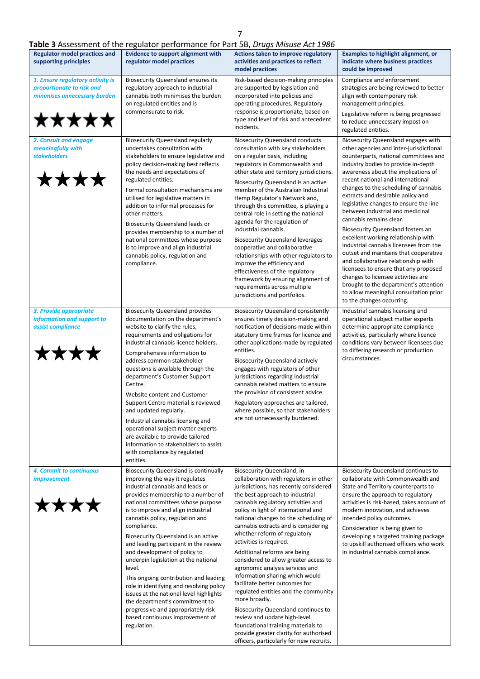# 7

| <b>Regulator model practices and</b>                                                                   | Table 3 Assessment of the regulator performance for Part 5B, Drugs Misuse Act 1986<br><b>Evidence to support alignment with</b>                                                                                                                                                                                                                                                                                                                                                                                                                                                                                                                                                                                    | Actions taken to improve regulatory                                                                                                                                                                                                                                                                                                                                                                                                                                                                                                                                                                                                                                                                                                                                                                                             | <b>Examples to highlight alignment, or</b>                                                                                                                                                                                                                                                                                                                                                                                                                                                                                                                                                                                                                                                                                                                                                                                             |
|--------------------------------------------------------------------------------------------------------|--------------------------------------------------------------------------------------------------------------------------------------------------------------------------------------------------------------------------------------------------------------------------------------------------------------------------------------------------------------------------------------------------------------------------------------------------------------------------------------------------------------------------------------------------------------------------------------------------------------------------------------------------------------------------------------------------------------------|---------------------------------------------------------------------------------------------------------------------------------------------------------------------------------------------------------------------------------------------------------------------------------------------------------------------------------------------------------------------------------------------------------------------------------------------------------------------------------------------------------------------------------------------------------------------------------------------------------------------------------------------------------------------------------------------------------------------------------------------------------------------------------------------------------------------------------|----------------------------------------------------------------------------------------------------------------------------------------------------------------------------------------------------------------------------------------------------------------------------------------------------------------------------------------------------------------------------------------------------------------------------------------------------------------------------------------------------------------------------------------------------------------------------------------------------------------------------------------------------------------------------------------------------------------------------------------------------------------------------------------------------------------------------------------|
| supporting principles                                                                                  | regulator model practices                                                                                                                                                                                                                                                                                                                                                                                                                                                                                                                                                                                                                                                                                          | activities and practices to reflect<br>model practices                                                                                                                                                                                                                                                                                                                                                                                                                                                                                                                                                                                                                                                                                                                                                                          | indicate where business practices<br>could be improved                                                                                                                                                                                                                                                                                                                                                                                                                                                                                                                                                                                                                                                                                                                                                                                 |
| 1. Ensure regulatory activity is<br>proportionate to risk and<br>minimises unnecessary burden<br>★★★★★ | <b>Biosecurity Queensland ensures its</b><br>regulatory approach to industrial<br>cannabis both minimises the burden<br>on regulated entities and is<br>commensurate to risk.                                                                                                                                                                                                                                                                                                                                                                                                                                                                                                                                      | Risk-based decision-making principles<br>are supported by legislation and<br>incorporated into policies and<br>operating procedures. Regulatory<br>response is proportionate, based on<br>type and level of risk and antecedent<br>incidents.                                                                                                                                                                                                                                                                                                                                                                                                                                                                                                                                                                                   | Compliance and enforcement<br>strategies are being reviewed to better<br>align with contemporary risk<br>management principles.<br>Legislative reform is being progressed<br>to reduce unnecessary impost on<br>regulated entities.                                                                                                                                                                                                                                                                                                                                                                                                                                                                                                                                                                                                    |
| 2. Consult and engage<br>meaningfully with<br><b>stakeholders</b><br>****                              | <b>Biosecurity Queensland regularly</b><br>undertakes consultation with<br>stakeholders to ensure legislative and<br>policy decision-making best reflects<br>the needs and expectations of<br>regulated entities.<br>Formal consultation mechanisms are<br>utilised for legislative matters in<br>addition to informal processes for<br>other matters.<br><b>Biosecurity Queensland leads or</b><br>provides membership to a number of<br>national committees whose purpose<br>is to improve and align industrial<br>cannabis policy, regulation and<br>compliance.                                                                                                                                                | <b>Biosecurity Queensland conducts</b><br>consultation with key stakeholders<br>on a regular basis, including<br>regulators in Commonwealth and<br>other state and territory jurisdictions.<br>Biosecurity Queensland is an active<br>member of the Australian Industrial<br>Hemp Regulator's Network and,<br>through this committee, is playing a<br>central role in setting the national<br>agenda for the regulation of<br>industrial cannabis.<br><b>Biosecurity Queensland leverages</b><br>cooperative and collaborative<br>relationships with other regulators to<br>improve the efficiency and<br>effectiveness of the regulatory<br>framework by ensuring alignment of<br>requirements across multiple<br>jurisdictions and portfolios.                                                                                | Biosecurity Queensland engages with<br>other agencies and inter-jurisdictional<br>counterparts, national committees and<br>industry bodies to provide in-depth<br>awareness about the implications of<br>recent national and international<br>changes to the scheduling of cannabis<br>extracts and desirable policy and<br>legislative changes to ensure the line<br>between industrial and medicinal<br>cannabis remains clear.<br>Biosecurity Queensland fosters an<br>excellent working relationship with<br>industrial cannabis licensees from the<br>outset and maintains that cooperative<br>and collaborative relationship with<br>licensees to ensure that any proposed<br>changes to licensee activities are<br>brought to the department's attention<br>to allow meaningful consultation prior<br>to the changes occurring. |
| 3. Provide appropriate<br>information and support to<br>assist compliance<br>****                      | <b>Biosecurity Queensland provides</b><br>documentation on the department's<br>website to clarify the rules,<br>requirements and obligations for<br>industrial cannabis licence holders.<br>Comprehensive information to<br>address common stakeholder<br>questions is available through the<br>department's Customer Support<br>Centre.<br>Website content and Customer<br>Support Centre material is reviewed<br>and updated regularly.<br>Industrial cannabis licensing and<br>operational subject matter experts<br>are available to provide tailored<br>information to stakeholders to assist<br>with compliance by regulated<br>entities.                                                                    | <b>Biosecurity Queensland consistently</b><br>ensures timely decision-making and<br>notification of decisions made within<br>statutory time frames for licence and<br>other applications made by regulated<br>entities.<br><b>Biosecurity Queensland actively</b><br>engages with regulators of other<br>jurisdictions regarding industrial<br>cannabis related matters to ensure<br>the provision of consistent advice.<br>Regulatory approaches are tailored,<br>where possible, so that stakeholders<br>are not unnecessarily burdened.                                                                                                                                                                                                                                                                                      | Industrial cannabis licensing and<br>operational subject matter experts<br>determine appropriate compliance<br>activities, particularly where licence<br>conditions vary between licensees due<br>to differing research or production<br>circumstances.                                                                                                                                                                                                                                                                                                                                                                                                                                                                                                                                                                                |
| 4. Commit to continuous<br><i>improvement</i><br>★★★★                                                  | <b>Biosecurity Queensland is continually</b><br>improving the way it regulates<br>industrial cannabis and leads or<br>provides membership to a number of<br>national committees whose purpose<br>is to improve and align industrial<br>cannabis policy, regulation and<br>compliance.<br>Biosecurity Queensland is an active<br>and leading participant in the review<br>and development of policy to<br>underpin legislation at the national<br>level.<br>This ongoing contribution and leading<br>role in identifying and resolving policy<br>issues at the national level highlights<br>the department's commitment to<br>progressive and appropriately risk-<br>based continuous improvement of<br>regulation. | Biosecurity Queensland, in<br>collaboration with regulators in other<br>jurisdictions, has recently considered<br>the best approach to industrial<br>cannabis regulatory activities and<br>policy in light of international and<br>national changes to the scheduling of<br>cannabis extracts and is considering<br>whether reform of regulatory<br>activities is required.<br>Additional reforms are being<br>considered to allow greater access to<br>agronomic analysis services and<br>information sharing which would<br>facilitate better outcomes for<br>regulated entities and the community<br>more broadly.<br><b>Biosecurity Queensland continues to</b><br>review and update high-level<br>foundational training materials to<br>provide greater clarity for authorised<br>officers, particularly for new recruits. | Biosecurity Queensland continues to<br>collaborate with Commonwealth and<br>State and Territory counterparts to<br>ensure the approach to regulatory<br>activities is risk-based, takes account of<br>modern innovation, and achieves<br>intended policy outcomes.<br>Consideration is being given to<br>developing a targeted training package<br>to upskill authorised officers who work<br>in industrial cannabis compliance.                                                                                                                                                                                                                                                                                                                                                                                                       |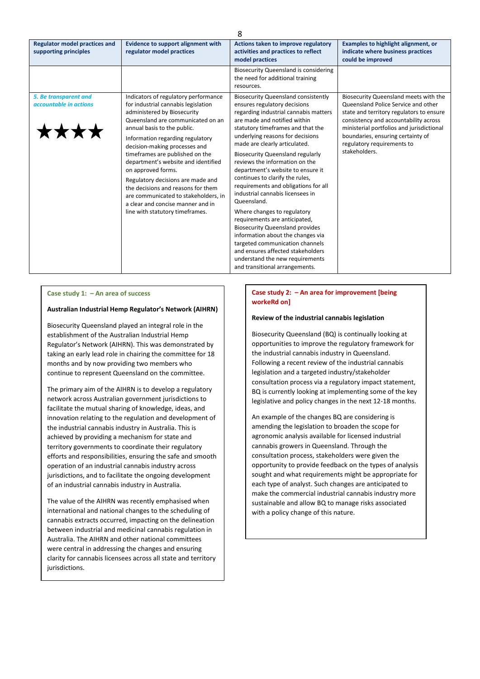| 8                                                             |                                                                                                                                                                                                                                                                                                                                                                                                                                                                                                                                                |                                                                                                                                                                                                                                                                                                                                                                                                                                                                                                                                                                                                                                                                                                                                                                                                           |                                                                                                                                                                                                                                                                                                    |
|---------------------------------------------------------------|------------------------------------------------------------------------------------------------------------------------------------------------------------------------------------------------------------------------------------------------------------------------------------------------------------------------------------------------------------------------------------------------------------------------------------------------------------------------------------------------------------------------------------------------|-----------------------------------------------------------------------------------------------------------------------------------------------------------------------------------------------------------------------------------------------------------------------------------------------------------------------------------------------------------------------------------------------------------------------------------------------------------------------------------------------------------------------------------------------------------------------------------------------------------------------------------------------------------------------------------------------------------------------------------------------------------------------------------------------------------|----------------------------------------------------------------------------------------------------------------------------------------------------------------------------------------------------------------------------------------------------------------------------------------------------|
| <b>Regulator model practices and</b><br>supporting principles | <b>Evidence to support alignment with</b><br>regulator model practices                                                                                                                                                                                                                                                                                                                                                                                                                                                                         | Actions taken to improve regulatory<br>activities and practices to reflect<br>model practices                                                                                                                                                                                                                                                                                                                                                                                                                                                                                                                                                                                                                                                                                                             | <b>Examples to highlight alignment, or</b><br>indicate where business practices<br>could be improved                                                                                                                                                                                               |
|                                                               |                                                                                                                                                                                                                                                                                                                                                                                                                                                                                                                                                | <b>Biosecurity Queensland is considering</b><br>the need for additional training<br>resources.                                                                                                                                                                                                                                                                                                                                                                                                                                                                                                                                                                                                                                                                                                            |                                                                                                                                                                                                                                                                                                    |
| 5. Be transparent and<br>accountable in actions               | Indicators of regulatory performance<br>for industrial cannabis legislation<br>administered by Biosecurity<br>Queensland are communicated on an<br>annual basis to the public.<br>Information regarding regulatory<br>decision-making processes and<br>timeframes are published on the<br>department's website and identified<br>on approved forms.<br>Regulatory decisions are made and<br>the decisions and reasons for them<br>are communicated to stakeholders, in<br>a clear and concise manner and in<br>line with statutory timeframes. | <b>Biosecurity Queensland consistently</b><br>ensures regulatory decisions<br>regarding industrial cannabis matters<br>are made and notified within<br>statutory timeframes and that the<br>underlying reasons for decisions<br>made are clearly articulated.<br><b>Biosecurity Queensland regularly</b><br>reviews the information on the<br>department's website to ensure it<br>continues to clarify the rules,<br>requirements and obligations for all<br>industrial cannabis licensees in<br>Queensland.<br>Where changes to regulatory<br>requirements are anticipated,<br><b>Biosecurity Queensland provides</b><br>information about the changes via<br>targeted communication channels<br>and ensures affected stakeholders<br>understand the new requirements<br>and transitional arrangements. | Biosecurity Queensland meets with the<br>Queensland Police Service and other<br>state and territory regulators to ensure<br>consistency and accountability across<br>ministerial portfolios and jurisdictional<br>boundaries, ensuring certainty of<br>regulatory requirements to<br>stakeholders. |

#### **Australian Industrial Hemp Regulator's Network (AIHRN)**

Biosecurity Queensland played an integral role in the establishment of the Australian Industrial Hemp Regulator's Network (AIHRN). This was demonstrated by taking an early lead role in chairing the committee for 18 months and by now providing two members who continue to represent Queensland on the committee.

The primary aim of the AIHRN is to develop a regulatory network across Australian government jurisdictions to facilitate the mutual sharing of knowledge, ideas, and innovation relating to the regulation and development of the industrial cannabis industry in Australia. This is achieved by providing a mechanism for state and territory governments to coordinate their regulatory efforts and responsibilities, ensuring the safe and smooth operation of an industrial cannabis industry across jurisdictions, and to facilitate the ongoing development of an industrial cannabis industry in Australia.

The value of the AIHRN was recently emphasised when international and national changes to the scheduling of cannabis extracts occurred, impacting on the delineation between industrial and medicinal cannabis regulation in Australia. The AIHRN and other national committees were central in addressing the changes and ensuring clarity for cannabis licensees across all state and territory jurisdictions.

#### **Case study 2: – An area for improvement [being workeRd on]**

#### **Review of the industrial cannabis legislation**

Biosecurity Queensland (BQ) is continually looking at opportunities to improve the regulatory framework for the industrial cannabis industry in Queensland. Following a recent review of the industrial cannabis legislation and a targeted industry/stakeholder consultation process via a regulatory impact statement, BQ is currently looking at implementing some of the key legislative and policy changes in the next 12-18 months.

An example of the changes BQ are considering is amending the legislation to broaden the scope for agronomic analysis available for licensed industrial cannabis growers in Queensland. Through the consultation process, stakeholders were given the opportunity to provide feedback on the types of analysis sought and what requirements might be appropriate for each type of analyst. Such changes are anticipated to make the commercial industrial cannabis industry more sustainable and allow BQ to manage risks associated with a policy change of this nature.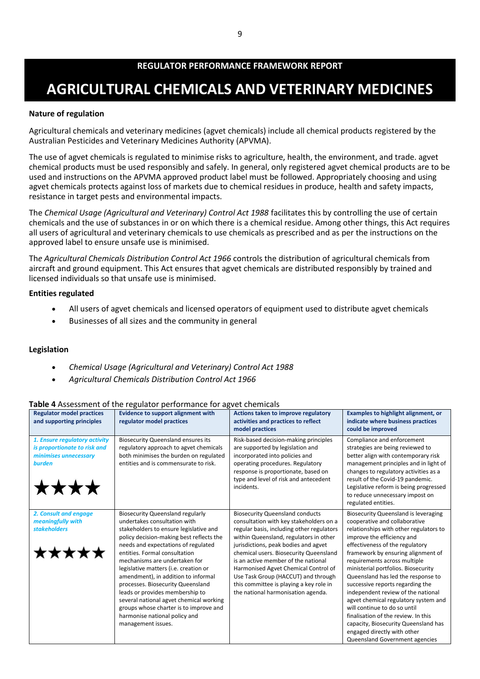# **AGRICULTURAL CHEMICALS AND VETERINARY MEDICINES**

# **Nature of regulation**

Agricultural chemicals and veterinary medicines (agvet chemicals) include all chemical products registered by the Australian Pesticides and Veterinary Medicines Authority (APVMA).

The use of agvet chemicals is regulated to minimise risks to agriculture, health, the environment, and trade. agvet chemical products must be used responsibly and safely. In general, only registered agvet chemical products are to be used and instructions on the APVMA approved product label must be followed. Appropriately choosing and using agvet chemicals protects against loss of markets due to chemical residues in produce, health and safety impacts, resistance in target pests and environmental impacts.

The *Chemical Usage (Agricultural and Veterinary) Control Act 1988* facilitates this by controlling the use of certain chemicals and the use of substances in or on which there is a chemical residue. Among other things, this Act requires all users of agricultural and veterinary chemicals to use chemicals as prescribed and as per the instructions on the approved label to ensure unsafe use is minimised.

Th*e Agricultural Chemicals Distribution Control Act 1966* controls the distribution of agricultural chemicals from aircraft and ground equipment. This Act ensures that agvet chemicals are distributed responsibly by trained and licensed individuals so that unsafe use is minimised.

## **Entities regulated**

- All users of agvet chemicals and licensed operators of equipment used to distribute agvet chemicals
- Businesses of all sizes and the community in general

# **Legislation**

- *Chemical Usage (Agricultural and Veterinary) Control Act 1988*
- *Agricultural Chemicals Distribution Control Act 1966*

#### **Regulator model practices Evidence to support alignment with Actions taken to improve regulatory Examples to highlight alignment, or regulator model practices and supporting principles activities and practices to reflect indicate where business practices model practices could be improved** *1. Ensure regulatory activity*  Biosecurity Queensland ensures its Risk-based decision-making principles Compliance and enforcement *is proportionate to risk and*  regulatory approach to agvet chemicals are supported by legislation and strategies are being reviewed to *minimises unnecessary*  both minimises the burden on regulated better align with contemporary risk incorporated into policies and *burden*  entities and is commensurate to risk. operating procedures. Regulatory management principles and in light of response is proportionate, based on changes to regulatory activities as a type and level of risk and antecedent result of the Covid-19 pandemic. \*\*\*\* incidents. Legislative reform is being progressed to reduce unnecessary impost on regulated entities. *2. Consult and engage*  Biosecurity Queensland regularly Biosecurity Queensland conducts Biosecurity Queensland is leveraging *meaningfully with*  undertakes consultation with consultation with key stakeholders on a cooperative and collaborative *stakeholders* regular basis, including other regulators stakeholders to ensure legislative and relationships with other regulators to policy decision-making best reflects the within Queensland, regulators in other improve the efficiency and jurisdictions, peak bodies and agvet effectiveness of the regulatory needs and expectations of regulated \*\*\*\*\* entities. Formal consultation chemical users. Biosecurity Queensland framework by ensuring alignment of mechanisms are undertaken for is an active member of the national requirements across multiple legislative matters (i.e. creation or Harmonised Agvet Chemical Control of ministerial portfolios. Biosecurity amendment), in addition to informal Use Task Group (HACCUT) and through Queensland has led the response to this committee is playing a key role in processes. Biosecurity Queensland successive reports regarding the leads or provides membership to the national harmonisation agenda. independent review of the national several national agvet chemical working agvet chemical regulatory system and groups whose charter is to improve and will continue to do so until harmonise national policy and finalisation of the review. In this management issues. capacity, Biosecurity Queensland has engaged directly with other Queensland Government agencies

## **Table 4** Assessment of the regulator performance for agvet chemicals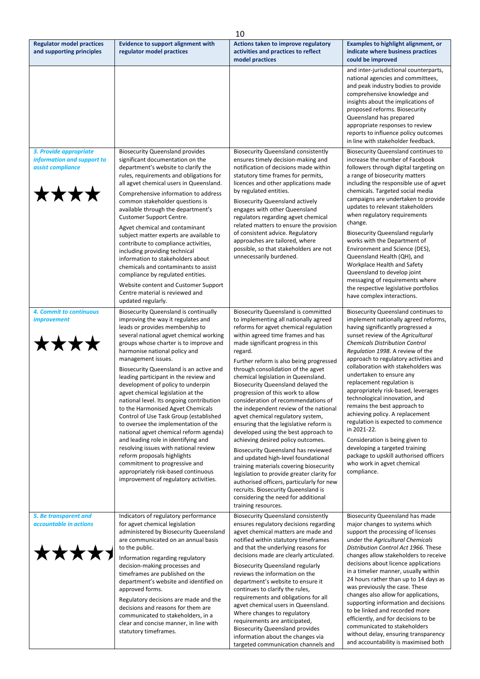| 10                                                                                |                                                                                                                                                                                                                                                                                                                                                                                                                                                                                                                                                                                                                                                                                                                                                                                                                                                                              |                                                                                                                                                                                                                                                                                                                                                                                                                                                                                                                                                                                                                                                                                                                                                                                                                                                                                                                                                                                              |                                                                                                                                                                                                                                                                                                                                                                                                                                                                                                                                                                                                                                                                                                                                                |
|-----------------------------------------------------------------------------------|------------------------------------------------------------------------------------------------------------------------------------------------------------------------------------------------------------------------------------------------------------------------------------------------------------------------------------------------------------------------------------------------------------------------------------------------------------------------------------------------------------------------------------------------------------------------------------------------------------------------------------------------------------------------------------------------------------------------------------------------------------------------------------------------------------------------------------------------------------------------------|----------------------------------------------------------------------------------------------------------------------------------------------------------------------------------------------------------------------------------------------------------------------------------------------------------------------------------------------------------------------------------------------------------------------------------------------------------------------------------------------------------------------------------------------------------------------------------------------------------------------------------------------------------------------------------------------------------------------------------------------------------------------------------------------------------------------------------------------------------------------------------------------------------------------------------------------------------------------------------------------|------------------------------------------------------------------------------------------------------------------------------------------------------------------------------------------------------------------------------------------------------------------------------------------------------------------------------------------------------------------------------------------------------------------------------------------------------------------------------------------------------------------------------------------------------------------------------------------------------------------------------------------------------------------------------------------------------------------------------------------------|
| <b>Regulator model practices</b><br>and supporting principles                     | <b>Evidence to support alignment with</b><br>regulator model practices                                                                                                                                                                                                                                                                                                                                                                                                                                                                                                                                                                                                                                                                                                                                                                                                       | Actions taken to improve regulatory<br>activities and practices to reflect<br>model practices                                                                                                                                                                                                                                                                                                                                                                                                                                                                                                                                                                                                                                                                                                                                                                                                                                                                                                | <b>Examples to highlight alignment, or</b><br>indicate where business practices<br>could be improved                                                                                                                                                                                                                                                                                                                                                                                                                                                                                                                                                                                                                                           |
|                                                                                   |                                                                                                                                                                                                                                                                                                                                                                                                                                                                                                                                                                                                                                                                                                                                                                                                                                                                              |                                                                                                                                                                                                                                                                                                                                                                                                                                                                                                                                                                                                                                                                                                                                                                                                                                                                                                                                                                                              | and inter-jurisdictional counterparts,<br>national agencies and committees,<br>and peak industry bodies to provide<br>comprehensive knowledge and<br>insights about the implications of<br>proposed reforms. Biosecurity<br>Queensland has prepared<br>appropriate responses to review<br>reports to influence policy outcomes<br>in line with stakeholder feedback.                                                                                                                                                                                                                                                                                                                                                                           |
| 3. Provide appropriate<br>information and support to<br>assist compliance<br>**** | <b>Biosecurity Queensland provides</b><br>significant documentation on the<br>department's website to clarify the<br>rules, requirements and obligations for<br>all agvet chemical users in Queensland.<br>Comprehensive information to address<br>common stakeholder questions is<br>available through the department's<br><b>Customer Support Centre.</b><br>Agvet chemical and contaminant<br>subject matter experts are available to<br>contribute to compliance activities,<br>including providing technical<br>information to stakeholders about<br>chemicals and contaminants to assist<br>compliance by regulated entities.<br>Website content and Customer Support<br>Centre material is reviewed and<br>updated regularly.                                                                                                                                         | <b>Biosecurity Queensland consistently</b><br>ensures timely decision-making and<br>notification of decisions made within<br>statutory time frames for permits,<br>licences and other applications made<br>by regulated entities.<br><b>Biosecurity Queensland actively</b><br>engages with other Queensland<br>regulators regarding agvet chemical<br>related matters to ensure the provision<br>of consistent advice. Regulatory<br>approaches are tailored, where<br>possible, so that stakeholders are not<br>unnecessarily burdened.                                                                                                                                                                                                                                                                                                                                                                                                                                                    | <b>Biosecurity Queensland continues to</b><br>increase the number of Facebook<br>followers through digital targeting on<br>a range of biosecurity matters<br>including the responsible use of agvet<br>chemicals. Targeted social media<br>campaigns are undertaken to provide<br>updates to relevant stakeholders<br>when regulatory requirements<br>change.<br><b>Biosecurity Queensland regularly</b><br>works with the Department of<br>Environment and Science (DES),<br>Queensland Health (QH), and<br>Workplace Health and Safety<br>Queensland to develop joint<br>messaging of requirements where<br>the respective legislative portfolios<br>have complex interactions.                                                              |
| 4. Commit to continuous<br><i>improvement</i><br><b>****</b>                      | <b>Biosecurity Queensland is continually</b><br>improving the way it regulates and<br>leads or provides membership to<br>several national agvet chemical working<br>groups whose charter is to improve and<br>harmonise national policy and<br>management issues.<br>Biosecurity Queensland is an active and<br>leading participant in the review and<br>development of policy to underpin<br>agvet chemical legislation at the<br>national level. Its ongoing contribution<br>to the Harmonised Agvet Chemicals<br>Control of Use Task Group (established<br>to oversee the implementation of the<br>national agvet chemical reform agenda)<br>and leading role in identifying and<br>resolving issues with national review<br>reform proposals highlights<br>commitment to progressive and<br>appropriately risk-based continuous<br>improvement of regulatory activities. | <b>Biosecurity Queensland is committed</b><br>to implementing all nationally agreed<br>reforms for agvet chemical regulation<br>within agreed time frames and has<br>made significant progress in this<br>regard.<br>Further reform is also being progressed<br>through consolidation of the agvet<br>chemical legislation in Queensland.<br>Biosecurity Queensland delayed the<br>progression of this work to allow<br>consideration of recommendations of<br>the independent review of the national<br>agvet chemical regulatory system,<br>ensuring that the legislative reform is<br>developed using the best approach to<br>achieving desired policy outcomes.<br>Biosecurity Queensland has reviewed<br>and updated high-level foundational<br>training materials covering biosecurity<br>legislation to provide greater clarity for<br>authorised officers, particularly for new<br>recruits. Biosecurity Queensland is<br>considering the need for additional<br>training resources. | <b>Biosecurity Queensland continues to</b><br>implement nationally agreed reforms,<br>having significantly progressed a<br>sunset review of the Agricultural<br><b>Chemicals Distribution Control</b><br>Regulation 1998. A review of the<br>approach to regulatory activities and<br>collaboration with stakeholders was<br>undertaken to ensure any<br>replacement regulation is<br>appropriately risk-based, leverages<br>technological innovation, and<br>remains the best approach to<br>achieving policy. A replacement<br>regulation is expected to commence<br>in 2021-22.<br>Consideration is being given to<br>developing a targeted training<br>package to upskill authorised officers<br>who work in agvet chemical<br>compliance. |
| 5. Be transparent and<br>accountable in actions<br><b>****</b>                    | Indicators of regulatory performance<br>for agvet chemical legislation<br>administered by Biosecurity Queensland<br>are communicated on an annual basis<br>to the public.<br>Information regarding regulatory<br>decision-making processes and<br>timeframes are published on the<br>department's website and identified on<br>approved forms.<br>Regulatory decisions are made and the<br>decisions and reasons for them are<br>communicated to stakeholders, in a<br>clear and concise manner, in line with<br>statutory timeframes.                                                                                                                                                                                                                                                                                                                                       | <b>Biosecurity Queensland consistently</b><br>ensures regulatory decisions regarding<br>agvet chemical matters are made and<br>notified within statutory timeframes<br>and that the underlying reasons for<br>decisions made are clearly articulated.<br><b>Biosecurity Queensland regularly</b><br>reviews the information on the<br>department's website to ensure it<br>continues to clarify the rules,<br>requirements and obligations for all<br>agvet chemical users in Queensland.<br>Where changes to regulatory<br>requirements are anticipated,<br><b>Biosecurity Queensland provides</b><br>information about the changes via<br>targeted communication channels and                                                                                                                                                                                                                                                                                                              | Biosecurity Queensland has made<br>major changes to systems which<br>support the processing of licenses<br>under the Agricultural Chemicals<br>Distribution Control Act 1966. These<br>changes allow stakeholders to receive<br>decisions about licence applications<br>in a timelier manner, usually within<br>24 hours rather than up to 14 days as<br>was previously the case. These<br>changes also allow for applications,<br>supporting information and decisions<br>to be linked and recorded more<br>efficiently, and for decisions to be<br>communicated to stakeholders<br>without delay, ensuring transparency<br>and accountability is maximised both                                                                              |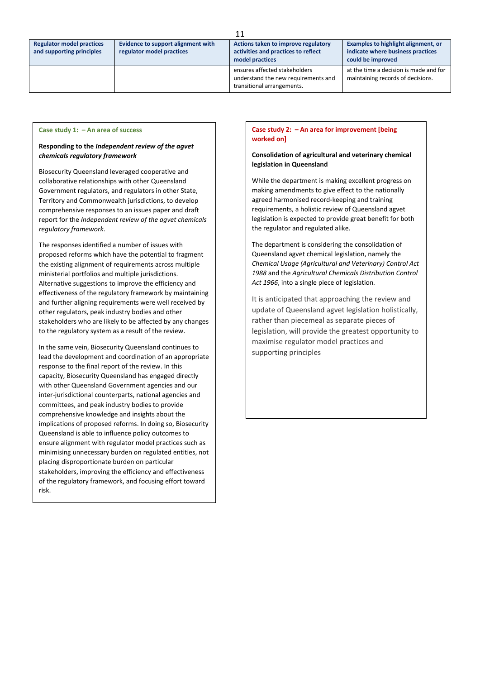| <b>Regulator model practices</b><br>and supporting principles | Evidence to support alignment with<br>regulator model practices | Actions taken to improve regulatory<br>activities and practices to reflect<br>model practices      | Examples to highlight alignment, or<br>indicate where business practices<br>could be improved |
|---------------------------------------------------------------|-----------------------------------------------------------------|----------------------------------------------------------------------------------------------------|-----------------------------------------------------------------------------------------------|
|                                                               |                                                                 | ensures affected stakeholders<br>understand the new requirements and<br>transitional arrangements. | at the time a decision is made and for<br>maintaining records of decisions.                   |

11

#### **Case study 1: – An area of success**

#### **Responding to the** *Independent review of the agvet chemicals regulatory framework*

Biosecurity Queensland leveraged cooperative and collaborative relationships with other Queensland Government regulators, and regulators in other State, Territory and Commonwealth jurisdictions, to develop comprehensive responses to an issues paper and draft report for the *Independent review of the agvet chemicals regulatory framework*.

The responses identified a number of issues with proposed reforms which have the potential to fragment the existing alignment of requirements across multiple ministerial portfolios and multiple jurisdictions. Alternative suggestions to improve the efficiency and effectiveness of the regulatory framework by maintaining and further aligning requirements were well received by other regulators, peak industry bodies and other stakeholders who are likely to be affected by any changes to the regulatory system as a result of the review.

In the same vein, Biosecurity Queensland continues to lead the development and coordination of an appropriate response to the final report of the review. In this capacity, Biosecurity Queensland has engaged directly with other Queensland Government agencies and our inter-jurisdictional counterparts, national agencies and committees, and peak industry bodies to provide comprehensive knowledge and insights about the implications of proposed reforms. In doing so, Biosecurity Queensland is able to influence policy outcomes to ensure alignment with regulator model practices such as minimising unnecessary burden on regulated entities, not placing disproportionate burden on particular stakeholders, improving the efficiency and effectiveness of the regulatory framework, and focusing effort toward risk.

#### **Case study 2: – An area for improvement [being worked on]**

### **Consolidation of agricultural and veterinary chemical legislation in Queensland**

While the department is making excellent progress on making amendments to give effect to the nationally agreed harmonised record-keeping and training requirements, a holistic review of Queensland agvet legislation is expected to provide great benefit for both the regulator and regulated alike.

The department is considering the consolidation of Queensland agvet chemical legislation, namely the *Chemical Usage (Agricultural and Veterinary) Control Act 1988* and the *Agricultural Chemicals Distribution Control Act 1966*, into a single piece of legislation*.*

It is anticipated that approaching the review and update of Queensland agvet legislation holistically, rather than piecemeal as separate pieces of legislation, will provide the greatest opportunity to maximise regulator model practices and supporting principles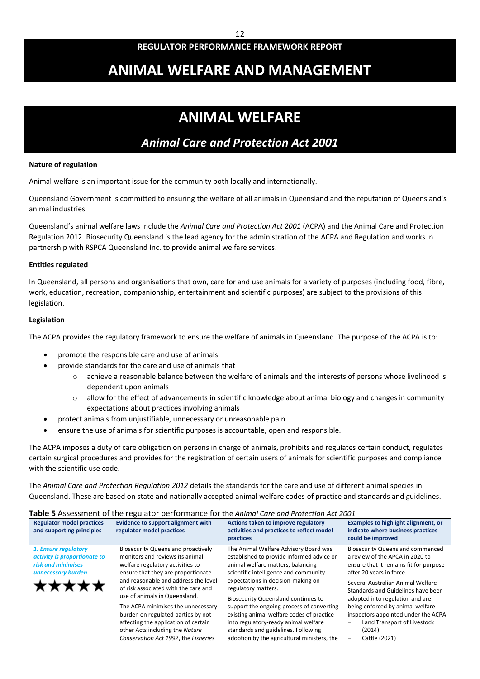# **ANIMAL WELFARE AND MANAGEMENT**

# **ANIMAL WELFARE**

# *Animal Care and Protection Act 2001*

## **Nature of regulation**

Animal welfare is an important issue for the community both locally and internationally.

Queensland Government is committed to ensuring the welfare of all animals in Queensland and the reputation of Queensland's animal industries

Queensland's animal welfare laws include the *Animal Care and Protection Act 2001* (ACPA) and the Animal Care and Protection Regulation 2012. Biosecurity Queensland is the lead agency for the administration of the ACPA and Regulation and works in partnership with RSPCA Queensland Inc. to provide animal welfare services.

### **Entities regulated**

In Queensland, all persons and organisations that own, care for and use animals for a variety of purposes (including food, fibre, work, education, recreation, companionship, entertainment and scientific purposes) are subject to the provisions of this legislation.

### **Legislation**

The ACPA provides the regulatory framework to ensure the welfare of animals in Queensland. The purpose of the ACPA is to:

- promote the responsible care and use of animals
- provide standards for the care and use of animals that
	- o achieve a reasonable balance between the welfare of animals and the interests of persons whose livelihood is dependent upon animals
	- $\circ$  allow for the effect of advancements in scientific knowledge about animal biology and changes in community expectations about practices involving animals
- protect animals from unjustifiable, unnecessary or unreasonable pain
- ensure the use of animals for scientific purposes is accountable, open and responsible.

The ACPA imposes a duty of care obligation on persons in charge of animals, prohibits and regulates certain conduct, regulates certain surgical procedures and provides for the registration of certain users of animals for scientific purposes and compliance with the scientific use code.

The *Animal Care and Protection Regulation 2012* details the standards for the care and use of different animal species in Queensland. These are based on state and nationally accepted animal welfare codes of practice and standards and guidelines.

#### **Table 5** Assessment of the regulator performance for the *Animal Care and Protection Act 2001*

| <b>Regulator model practices</b><br>and supporting principles                                             | Evidence to support alignment with<br>regulator model practices                                                                                                                                                                                                                                                                                                                                                                                                        | Actions taken to improve regulatory<br>activities and practices to reflect model<br>practices                                                                                                                                                                                                                                                                                                                                                                                                       | Examples to highlight alignment, or<br>indicate where business practices<br>could be improved                                                                                                                                                                                                                                                                                                       |
|-----------------------------------------------------------------------------------------------------------|------------------------------------------------------------------------------------------------------------------------------------------------------------------------------------------------------------------------------------------------------------------------------------------------------------------------------------------------------------------------------------------------------------------------------------------------------------------------|-----------------------------------------------------------------------------------------------------------------------------------------------------------------------------------------------------------------------------------------------------------------------------------------------------------------------------------------------------------------------------------------------------------------------------------------------------------------------------------------------------|-----------------------------------------------------------------------------------------------------------------------------------------------------------------------------------------------------------------------------------------------------------------------------------------------------------------------------------------------------------------------------------------------------|
| 1. Ensure regulatory<br>activity is proportionate to<br>risk and minimises<br>unnecessary burden<br>★★★★★ | <b>Biosecurity Queensland proactively</b><br>monitors and reviews its animal<br>welfare regulatory activities to<br>ensure that they are proportionate<br>and reasonable and address the level<br>of risk associated with the care and<br>use of animals in Queensland.<br>The ACPA minimises the unnecessary<br>burden on regulated parties by not<br>affecting the application of certain<br>other Acts including the Nature<br>Conservation Act 1992, the Fisheries | The Animal Welfare Advisory Board was<br>established to provide informed advice on<br>animal welfare matters, balancing<br>scientific intelligence and community<br>expectations in decision-making on<br>regulatory matters.<br><b>Biosecurity Queensland continues to</b><br>support the ongoing process of converting<br>existing animal welfare codes of practice<br>into regulatory-ready animal welfare<br>standards and guidelines. Following<br>adoption by the agricultural ministers, the | <b>Biosecurity Queensland commenced</b><br>a review of the APCA in 2020 to<br>ensure that it remains fit for purpose<br>after 20 years in force.<br>Several Australian Animal Welfare<br>Standards and Guidelines have been<br>adopted into regulation and are<br>being enforced by animal welfare<br>inspectors appointed under the ACPA<br>Land Transport of Livestock<br>(2014)<br>Cattle (2021) |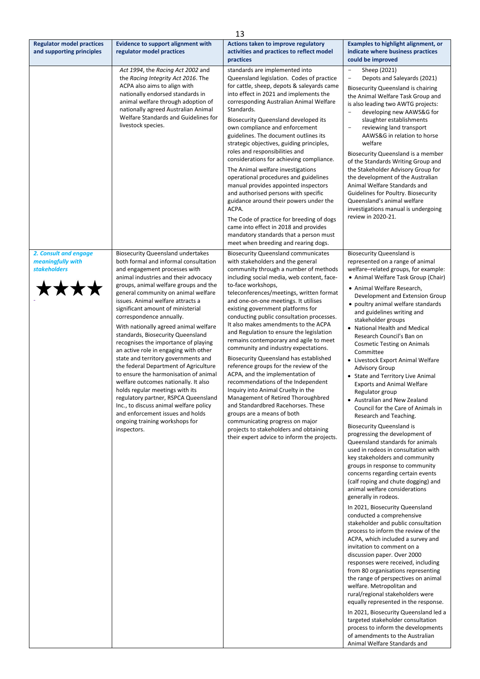|                                                                           |                                                                                                                                                                                                                                                                                                                                                                                                                                                                                                                                                                                                                                                                                                                                                                                                                                                                                            | 13                                                                                                                                                                                                                                                                                                                                                                                                                                                                                                                                                                                                                                                                                                                                                                                                                                                                                                                                                                                       |                                                                                                                                                                                                                                                                                                                                                                                                                                                                                                                                                                                                                                                                                                                                                                                                                                                                                                                                                                                                                                                                                                                                                                                                                                                                                                                                                                                                                                                                                                                                                                                                                                                                                                                          |
|---------------------------------------------------------------------------|--------------------------------------------------------------------------------------------------------------------------------------------------------------------------------------------------------------------------------------------------------------------------------------------------------------------------------------------------------------------------------------------------------------------------------------------------------------------------------------------------------------------------------------------------------------------------------------------------------------------------------------------------------------------------------------------------------------------------------------------------------------------------------------------------------------------------------------------------------------------------------------------|------------------------------------------------------------------------------------------------------------------------------------------------------------------------------------------------------------------------------------------------------------------------------------------------------------------------------------------------------------------------------------------------------------------------------------------------------------------------------------------------------------------------------------------------------------------------------------------------------------------------------------------------------------------------------------------------------------------------------------------------------------------------------------------------------------------------------------------------------------------------------------------------------------------------------------------------------------------------------------------|--------------------------------------------------------------------------------------------------------------------------------------------------------------------------------------------------------------------------------------------------------------------------------------------------------------------------------------------------------------------------------------------------------------------------------------------------------------------------------------------------------------------------------------------------------------------------------------------------------------------------------------------------------------------------------------------------------------------------------------------------------------------------------------------------------------------------------------------------------------------------------------------------------------------------------------------------------------------------------------------------------------------------------------------------------------------------------------------------------------------------------------------------------------------------------------------------------------------------------------------------------------------------------------------------------------------------------------------------------------------------------------------------------------------------------------------------------------------------------------------------------------------------------------------------------------------------------------------------------------------------------------------------------------------------------------------------------------------------|
| <b>Regulator model practices</b><br>and supporting principles             | <b>Evidence to support alignment with</b><br>regulator model practices                                                                                                                                                                                                                                                                                                                                                                                                                                                                                                                                                                                                                                                                                                                                                                                                                     | Actions taken to improve regulatory<br>activities and practices to reflect model<br>practices                                                                                                                                                                                                                                                                                                                                                                                                                                                                                                                                                                                                                                                                                                                                                                                                                                                                                            | <b>Examples to highlight alignment, or</b><br>indicate where business practices<br>could be improved                                                                                                                                                                                                                                                                                                                                                                                                                                                                                                                                                                                                                                                                                                                                                                                                                                                                                                                                                                                                                                                                                                                                                                                                                                                                                                                                                                                                                                                                                                                                                                                                                     |
|                                                                           | Act 1994, the Racing Act 2002 and<br>the Racing Integrity Act 2016. The<br>ACPA also aims to align with<br>nationally endorsed standards in<br>animal welfare through adoption of<br>nationally agreed Australian Animal<br>Welfare Standards and Guidelines for<br>livestock species.                                                                                                                                                                                                                                                                                                                                                                                                                                                                                                                                                                                                     | standards are implemented into<br>Queensland legislation. Codes of practice<br>for cattle, sheep, depots & saleyards came<br>into effect in 2021 and implements the<br>corresponding Australian Animal Welfare<br>Standards.<br><b>Biosecurity Queensland developed its</b><br>own compliance and enforcement<br>guidelines. The document outlines its<br>strategic objectives, guiding principles,<br>roles and responsibilities and<br>considerations for achieving compliance.<br>The Animal welfare investigations<br>operational procedures and guidelines<br>manual provides appointed inspectors<br>and authorised persons with specific<br>guidance around their powers under the<br>ACPA.<br>The Code of practice for breeding of dogs<br>came into effect in 2018 and provides<br>mandatory standards that a person must<br>meet when breeding and rearing dogs.                                                                                                               | $\overline{\phantom{a}}$<br>Sheep (2021)<br>$\overline{\phantom{a}}$<br>Depots and Saleyards (2021)<br>Biosecurity Queensland is chairing<br>the Animal Welfare Task Group and<br>is also leading two AWTG projects:<br>developing new AAWS&G for<br>slaughter establishments<br>reviewing land transport<br>$\overline{\phantom{a}}$<br>AAWS&G in relation to horse<br>welfare<br>Biosecurity Queensland is a member<br>of the Standards Writing Group and<br>the Stakeholder Advisory Group for<br>the development of the Australian<br>Animal Welfare Standards and<br>Guidelines for Poultry. Biosecurity<br>Queensland's animal welfare<br>investigations manual is undergoing<br>review in 2020-21.                                                                                                                                                                                                                                                                                                                                                                                                                                                                                                                                                                                                                                                                                                                                                                                                                                                                                                                                                                                                                |
| 2. Consult and engage<br>meaningfully with<br><b>stakeholders</b><br>**** | <b>Biosecurity Queensland undertakes</b><br>both formal and informal consultation<br>and engagement processes with<br>animal industries and their advocacy<br>groups, animal welfare groups and the<br>general community on animal welfare<br>issues. Animal welfare attracts a<br>significant amount of ministerial<br>correspondence annually.<br>With nationally agreed animal welfare<br>standards, Biosecurity Queensland<br>recognises the importance of playing<br>an active role in engaging with other<br>state and territory governments and<br>the federal Department of Agriculture<br>to ensure the harmonisation of animal<br>welfare outcomes nationally. It also<br>holds regular meetings with its<br>regulatory partner, RSPCA Queensland<br>Inc., to discuss animal welfare policy<br>and enforcement issues and holds<br>ongoing training workshops for<br>inspectors. | <b>Biosecurity Queensland communicates</b><br>with stakeholders and the general<br>community through a number of methods<br>including social media, web content, face-<br>to-face workshops,<br>teleconferences/meetings, written format<br>and one-on-one meetings. It utilises<br>existing government platforms for<br>conducting public consultation processes.<br>It also makes amendments to the ACPA<br>and Regulation to ensure the legislation<br>remains contemporary and agile to meet<br>community and industry expectations.<br><b>Biosecurity Queensland has established</b><br>reference groups for the review of the<br>ACPA, and the implementation of<br>recommendations of the Independent<br>Inquiry into Animal Cruelty in the<br>Management of Retired Thoroughbred<br>and Standardbred Racehorses. These<br>groups are a means of both<br>communicating progress on major<br>projects to stakeholders and obtaining<br>their expert advice to inform the projects. | <b>Biosecurity Queensland is</b><br>represented on a range of animal<br>welfare-related groups, for example:<br>• Animal Welfare Task Group (Chair)<br>• Animal Welfare Research,<br>Development and Extension Group<br>• poultry animal welfare standards<br>and guidelines writing and<br>stakeholder groups<br>• National Health and Medical<br>Research Council's Ban on<br><b>Cosmetic Testing on Animals</b><br>Committee<br>• Livestock Export Animal Welfare<br><b>Advisory Group</b><br>• State and Territory Live Animal<br><b>Exports and Animal Welfare</b><br>Regulator group<br>• Australian and New Zealand<br>Council for the Care of Animals in<br>Research and Teaching.<br><b>Biosecurity Queensland is</b><br>progressing the development of<br>Queensland standards for animals<br>used in rodeos in consultation with<br>key stakeholders and community<br>groups in response to community<br>concerns regarding certain events<br>(calf roping and chute dogging) and<br>animal welfare considerations<br>generally in rodeos.<br>In 2021, Biosecurity Queensland<br>conducted a comprehensive<br>stakeholder and public consultation<br>process to inform the review of the<br>ACPA, which included a survey and<br>invitation to comment on a<br>discussion paper. Over 2000<br>responses were received, including<br>from 80 organisations representing<br>the range of perspectives on animal<br>welfare. Metropolitan and<br>rural/regional stakeholders were<br>equally represented in the response.<br>In 2021, Biosecurity Queensland led a<br>targeted stakeholder consultation<br>process to inform the developments<br>of amendments to the Australian<br>Animal Welfare Standards and |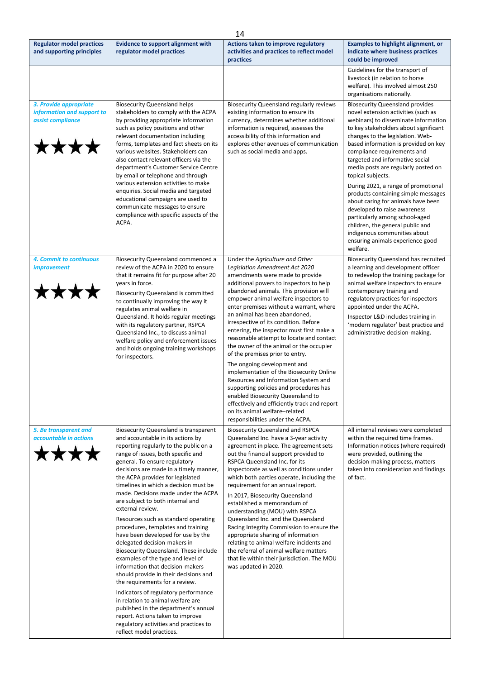|                                                                                   | 14                                                                                                                                                                                                                                                                                                                                                                                                                                                                                                                                                                                                                                                                                                                                                                                                                                                                                                                                                                                                |                                                                                                                                                                                                                                                                                                                                                                                                                                                                                                                                                                                                                                                                                                                                                                                                                                                      |                                                                                                                                                                                                                                                                                                                                                                                                                                                                                                                                                                                                                                                                                    |  |
|-----------------------------------------------------------------------------------|---------------------------------------------------------------------------------------------------------------------------------------------------------------------------------------------------------------------------------------------------------------------------------------------------------------------------------------------------------------------------------------------------------------------------------------------------------------------------------------------------------------------------------------------------------------------------------------------------------------------------------------------------------------------------------------------------------------------------------------------------------------------------------------------------------------------------------------------------------------------------------------------------------------------------------------------------------------------------------------------------|------------------------------------------------------------------------------------------------------------------------------------------------------------------------------------------------------------------------------------------------------------------------------------------------------------------------------------------------------------------------------------------------------------------------------------------------------------------------------------------------------------------------------------------------------------------------------------------------------------------------------------------------------------------------------------------------------------------------------------------------------------------------------------------------------------------------------------------------------|------------------------------------------------------------------------------------------------------------------------------------------------------------------------------------------------------------------------------------------------------------------------------------------------------------------------------------------------------------------------------------------------------------------------------------------------------------------------------------------------------------------------------------------------------------------------------------------------------------------------------------------------------------------------------------|--|
| <b>Regulator model practices</b><br>and supporting principles                     | <b>Evidence to support alignment with</b><br>regulator model practices                                                                                                                                                                                                                                                                                                                                                                                                                                                                                                                                                                                                                                                                                                                                                                                                                                                                                                                            | Actions taken to improve regulatory<br>activities and practices to reflect model<br>practices                                                                                                                                                                                                                                                                                                                                                                                                                                                                                                                                                                                                                                                                                                                                                        | Examples to highlight alignment, or<br>indicate where business practices<br>could be improved                                                                                                                                                                                                                                                                                                                                                                                                                                                                                                                                                                                      |  |
|                                                                                   |                                                                                                                                                                                                                                                                                                                                                                                                                                                                                                                                                                                                                                                                                                                                                                                                                                                                                                                                                                                                   |                                                                                                                                                                                                                                                                                                                                                                                                                                                                                                                                                                                                                                                                                                                                                                                                                                                      | Guidelines for the transport of<br>livestock (in relation to horse<br>welfare). This involved almost 250<br>organisations nationally.                                                                                                                                                                                                                                                                                                                                                                                                                                                                                                                                              |  |
| 3. Provide appropriate<br>information and support to<br>assist compliance<br>**** | <b>Biosecurity Queensland helps</b><br>stakeholders to comply with the ACPA<br>by providing appropriate information<br>such as policy positions and other<br>relevant documentation including<br>forms, templates and fact sheets on its<br>various websites. Stakeholders can<br>also contact relevant officers via the<br>department's Customer Service Centre<br>by email or telephone and through<br>various extension activities to make<br>enquiries. Social media and targeted<br>educational campaigns are used to<br>communicate messages to ensure<br>compliance with specific aspects of the<br>ACPA.                                                                                                                                                                                                                                                                                                                                                                                  | <b>Biosecurity Queensland regularly reviews</b><br>existing information to ensure its<br>currency, determines whether additional<br>information is required, assesses the<br>accessibility of this information and<br>explores other avenues of communication<br>such as social media and apps.                                                                                                                                                                                                                                                                                                                                                                                                                                                                                                                                                      | <b>Biosecurity Queensland provides</b><br>novel extension activities (such as<br>webinars) to disseminate information<br>to key stakeholders about significant<br>changes to the legislation. Web-<br>based information is provided on key<br>compliance requirements and<br>targeted and informative social<br>media posts are regularly posted on<br>topical subjects.<br>During 2021, a range of promotional<br>products containing simple messages<br>about caring for animals have been<br>developed to raise awareness<br>particularly among school-aged<br>children, the general public and<br>indigenous communities about<br>ensuring animals experience good<br>welfare. |  |
| 4. Commit to continuous<br><i>improvement</i><br>****                             | Biosecurity Queensland commenced a<br>review of the ACPA in 2020 to ensure<br>that it remains fit for purpose after 20<br>years in force.<br>Biosecurity Queensland is committed<br>to continually improving the way it<br>regulates animal welfare in<br>Queensland. It holds regular meetings<br>with its regulatory partner, RSPCA<br>Queensland Inc., to discuss animal<br>welfare policy and enforcement issues<br>and holds ongoing training workshops<br>for inspectors.                                                                                                                                                                                                                                                                                                                                                                                                                                                                                                                   | Under the Agriculture and Other<br>Legislation Amendment Act 2020<br>amendments were made to provide<br>additional powers to inspectors to help<br>abandoned animals. This provision will<br>empower animal welfare inspectors to<br>enter premises without a warrant, where<br>an animal has been abandoned,<br>irrespective of its condition. Before<br>entering, the inspector must first make a<br>reasonable attempt to locate and contact<br>the owner of the animal or the occupier<br>of the premises prior to entry.<br>The ongoing development and<br>implementation of the Biosecurity Online<br>Resources and Information System and<br>supporting policies and procedures has<br>enabled Biosecurity Queensland to<br>effectively and efficiently track and report<br>on its animal welfare-related<br>responsibilities under the ACPA. | <b>Biosecurity Queensland has recruited</b><br>a learning and development officer<br>to redevelop the training package for<br>animal welfare inspectors to ensure<br>contemporary training and<br>regulatory practices for inspectors<br>appointed under the ACPA.<br>Inspector L&D includes training in<br>'modern regulator' best practice and<br>administrative decision-making.                                                                                                                                                                                                                                                                                                |  |
| 5. Be transparent and<br>accountable in actions<br><b>IXXX</b>                    | Biosecurity Queensland is transparent<br>and accountable in its actions by<br>reporting regularly to the public on a<br>range of issues, both specific and<br>general. To ensure regulatory<br>decisions are made in a timely manner,<br>the ACPA provides for legislated<br>timelines in which a decision must be<br>made. Decisions made under the ACPA<br>are subject to both internal and<br>external review.<br>Resources such as standard operating<br>procedures, templates and training<br>have been developed for use by the<br>delegated decision-makers in<br>Biosecurity Queensland. These include<br>examples of the type and level of<br>information that decision-makers<br>should provide in their decisions and<br>the requirements for a review.<br>Indicators of regulatory performance<br>in relation to animal welfare are<br>published in the department's annual<br>report. Actions taken to improve<br>regulatory activities and practices to<br>reflect model practices. | <b>Biosecurity Queensland and RSPCA</b><br>Queensland Inc. have a 3-year activity<br>agreement in place. The agreement sets<br>out the financial support provided to<br>RSPCA Queensland Inc. for its<br>inspectorate as well as conditions under<br>which both parties operate, including the<br>requirement for an annual report.<br>In 2017, Biosecurity Queensland<br>established a memorandum of<br>understanding (MOU) with RSPCA<br>Queensland Inc. and the Queensland<br>Racing Integrity Commission to ensure the<br>appropriate sharing of information<br>relating to animal welfare incidents and<br>the referral of animal welfare matters<br>that lie within their jurisdiction. The MOU<br>was updated in 2020.                                                                                                                        | All internal reviews were completed<br>within the required time frames.<br>Information notices (where required)<br>were provided, outlining the<br>decision-making process, matters<br>taken into consideration and findings<br>of fact.                                                                                                                                                                                                                                                                                                                                                                                                                                           |  |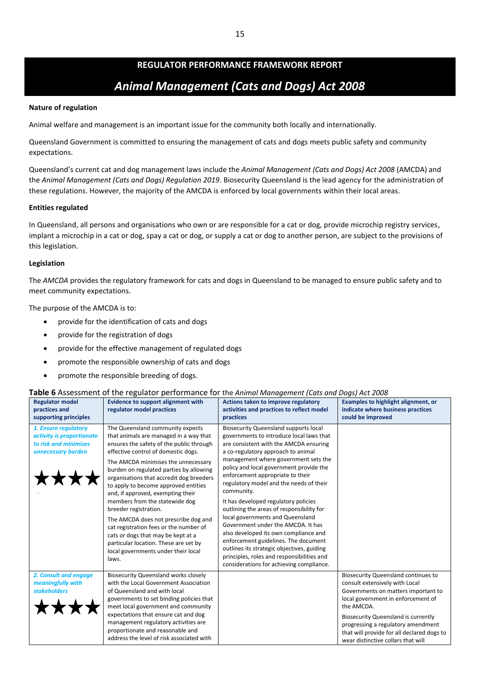# **REGULATOR PERFORMANCE FRAMEWORK REPORT** *Animal Management (Cats and Dogs) Act 2008*

## **Nature of regulation**

Animal welfare and management is an important issue for the community both locally and internationally.

Queensland Government is committed to ensuring the management of cats and dogs meets public safety and community expectations.

Queensland's current cat and dog management laws include the *Animal Management (Cats and Dogs) Act 2008* (AMCDA) and the *Animal Management (Cats and Dogs) Regulation 2019*. Biosecurity Queensland is the lead agency for the administration of these regulations. However, the majority of the AMCDA is enforced by local governments within their local areas.

## **Entities regulated**

In Queensland, all persons and organisations who own or are responsible for a cat or dog, provide microchip registry services, implant a microchip in a cat or dog, spay a cat or dog, or supply a cat or dog to another person, are subject to the provisions of this legislation.

## **Legislation**

The *AMCDA* provides the regulatory framework for cats and dogs in Queensland to be managed to ensure public safety and to meet community expectations.

The purpose of the AMCDA is to:

- provide for the identification of cats and dogs
- provide for the registration of dogs
- provide for the effective management of regulated dogs
- promote the responsible ownership of cats and dogs
- promote the responsible breeding of dogs.

## **Table 6** Assessment of the regulator performance for the *Animal Management (Cats and Dogs) Act 2008*

| <b>Regulator model</b><br>practices and<br>supporting principles                                 | <b>Evidence to support alignment with</b><br>regulator model practices                                                                                                                                                                                                                                                                                                                                                                                                                                                                                                                                                                               | Actions taken to improve regulatory<br>activities and practices to reflect model<br>practices                                                                                                                                                                                                                                                                                                                                                                                                                                                                                                                                                                                                                                                    | <b>Examples to highlight alignment, or</b><br>indicate where business practices<br>could be improved                                                                                                                                                                                                                                            |
|--------------------------------------------------------------------------------------------------|------------------------------------------------------------------------------------------------------------------------------------------------------------------------------------------------------------------------------------------------------------------------------------------------------------------------------------------------------------------------------------------------------------------------------------------------------------------------------------------------------------------------------------------------------------------------------------------------------------------------------------------------------|--------------------------------------------------------------------------------------------------------------------------------------------------------------------------------------------------------------------------------------------------------------------------------------------------------------------------------------------------------------------------------------------------------------------------------------------------------------------------------------------------------------------------------------------------------------------------------------------------------------------------------------------------------------------------------------------------------------------------------------------------|-------------------------------------------------------------------------------------------------------------------------------------------------------------------------------------------------------------------------------------------------------------------------------------------------------------------------------------------------|
| 1. Ensure regulatory<br>activity is proportionate<br>to risk and minimises<br>unnecessary burden | The Queensland community expects<br>that animals are managed in a way that<br>ensures the safety of the public through<br>effective control of domestic dogs.<br>The AMCDA minimises the unnecessary<br>burden on regulated parties by allowing<br>organisations that accredit dog breeders<br>to apply to become approved entities<br>and, if approved, exempting their<br>members from the statewide dog<br>breeder registration.<br>The AMCDA does not prescribe dog and<br>cat registration fees or the number of<br>cats or dogs that may be kept at a<br>particular location. These are set by<br>local governments under their local<br>laws. | <b>Biosecurity Queensland supports local</b><br>governments to introduce local laws that<br>are consistent with the AMCDA ensuring<br>a co-regulatory approach to animal<br>management where government sets the<br>policy and local government provide the<br>enforcement appropriate to their<br>regulatory model and the needs of their<br>community.<br>It has developed regulatory policies<br>outlining the areas of responsibility for<br>local governments and Queensland<br>Government under the AMCDA. It has<br>also developed its own compliance and<br>enforcement guidelines. The document<br>outlines its strategic objectives, guiding<br>principles, roles and responsibilities and<br>considerations for achieving compliance. |                                                                                                                                                                                                                                                                                                                                                 |
| 2. Consult and engage<br>meaningfully with<br><b>stakeholders</b>                                | <b>Biosecurity Queensland works closely</b><br>with the Local Government Association<br>of Queensland and with local<br>governments to set binding policies that<br>meet local government and community<br>expectations that ensure cat and dog<br>management regulatory activities are<br>proportionate and reasonable and<br>address the level of risk associated with                                                                                                                                                                                                                                                                             |                                                                                                                                                                                                                                                                                                                                                                                                                                                                                                                                                                                                                                                                                                                                                  | <b>Biosecurity Queensland continues to</b><br>consult extensively with Local<br>Governments on matters important to<br>local government in enforcement of<br>the AMCDA.<br><b>Biosecurity Queensland is currently</b><br>progressing a regulatory amendment<br>that will provide for all declared dogs to<br>wear distinctive collars that will |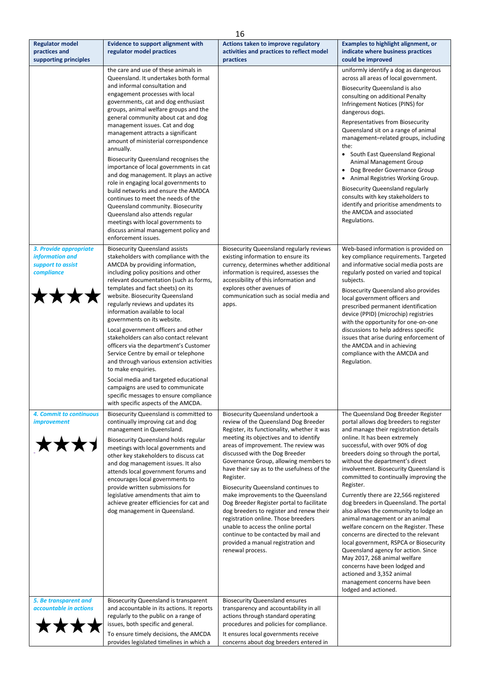|                                                                  |                                                                                                                                                                                                                                                                                                                                                                                                                                                                                                                                                                                                                                                                                                                                                                                                                                                                               | 16                                                                                                                                                                                                                                                                                                                                                                                                                                                                                                                                                                                                                                                                                                             |                                                                                                                                                                                                                                                                                                                                                                                                                                                                                                                                                                                                                                                                                                                                                                                                                                                                   |
|------------------------------------------------------------------|-------------------------------------------------------------------------------------------------------------------------------------------------------------------------------------------------------------------------------------------------------------------------------------------------------------------------------------------------------------------------------------------------------------------------------------------------------------------------------------------------------------------------------------------------------------------------------------------------------------------------------------------------------------------------------------------------------------------------------------------------------------------------------------------------------------------------------------------------------------------------------|----------------------------------------------------------------------------------------------------------------------------------------------------------------------------------------------------------------------------------------------------------------------------------------------------------------------------------------------------------------------------------------------------------------------------------------------------------------------------------------------------------------------------------------------------------------------------------------------------------------------------------------------------------------------------------------------------------------|-------------------------------------------------------------------------------------------------------------------------------------------------------------------------------------------------------------------------------------------------------------------------------------------------------------------------------------------------------------------------------------------------------------------------------------------------------------------------------------------------------------------------------------------------------------------------------------------------------------------------------------------------------------------------------------------------------------------------------------------------------------------------------------------------------------------------------------------------------------------|
| <b>Regulator model</b><br>practices and<br>supporting principles | <b>Evidence to support alignment with</b><br>regulator model practices                                                                                                                                                                                                                                                                                                                                                                                                                                                                                                                                                                                                                                                                                                                                                                                                        | Actions taken to improve regulatory<br>activities and practices to reflect model<br>practices                                                                                                                                                                                                                                                                                                                                                                                                                                                                                                                                                                                                                  | <b>Examples to highlight alignment, or</b><br>indicate where business practices<br>could be improved                                                                                                                                                                                                                                                                                                                                                                                                                                                                                                                                                                                                                                                                                                                                                              |
| 3. Provide appropriate                                           | the care and use of these animals in<br>Queensland. It undertakes both formal<br>and informal consultation and<br>engagement processes with local<br>governments, cat and dog enthusiast<br>groups, animal welfare groups and the<br>general community about cat and dog<br>management issues. Cat and dog<br>management attracts a significant<br>amount of ministerial correspondence<br>annually.<br>Biosecurity Queensland recognises the<br>importance of local governments in cat<br>and dog management. It plays an active<br>role in engaging local governments to<br>build networks and ensure the AMDCA<br>continues to meet the needs of the<br>Queensland community. Biosecurity<br>Queensland also attends regular<br>meetings with local governments to<br>discuss animal management policy and<br>enforcement issues.<br><b>Biosecurity Queensland assists</b> | <b>Biosecurity Queensland regularly reviews</b>                                                                                                                                                                                                                                                                                                                                                                                                                                                                                                                                                                                                                                                                | uniformly identify a dog as dangerous<br>across all areas of local government.<br><b>Biosecurity Queensland is also</b><br>consulting on additional Penalty<br>Infringement Notices (PINS) for<br>dangerous dogs.<br>Representatives from Biosecurity<br>Queensland sit on a range of animal<br>management-related groups, including<br>the:<br>• South East Queensland Regional<br>Animal Management Group<br>• Dog Breeder Governance Group<br>• Animal Registries Working Group.<br><b>Biosecurity Queensland regularly</b><br>consults with key stakeholders to<br>identify and prioritise amendments to<br>the AMCDA and associated<br>Regulations.<br>Web-based information is provided on                                                                                                                                                                  |
| information and<br>support to assist<br>compliance               | stakeholders with compliance with the<br>AMCDA by providing information,<br>including policy positions and other<br>relevant documentation (such as forms,<br>templates and fact sheets) on its<br>website. Biosecurity Queensland<br>regularly reviews and updates its<br>information available to local<br>governments on its website.<br>Local government officers and other<br>stakeholders can also contact relevant<br>officers via the department's Customer<br>Service Centre by email or telephone<br>and through various extension activities<br>to make enquiries.<br>Social media and targeted educational<br>campaigns are used to communicate<br>specific messages to ensure compliance<br>with specific aspects of the AMCDA.                                                                                                                                  | existing information to ensure its<br>currency, determines whether additional<br>information is required, assesses the<br>accessibility of this information and<br>explores other avenues of<br>communication such as social media and<br>apps.                                                                                                                                                                                                                                                                                                                                                                                                                                                                | key compliance requirements. Targeted<br>and informative social media posts are<br>regularly posted on varied and topical<br>subjects.<br>Biosecurity Queensland also provides<br>local government officers and<br>prescribed permanent identification<br>device (PPID) (microchip) registries<br>with the opportunity for one-on-one<br>discussions to help address specific<br>issues that arise during enforcement of<br>the AMCDA and in achieving<br>compliance with the AMCDA and<br>Regulation.                                                                                                                                                                                                                                                                                                                                                            |
| 4. Commit to continuous<br><i>improvement</i>                    | Biosecurity Queensland is committed to<br>continually improving cat and dog<br>management in Queensland.<br>Biosecurity Queensland holds regular<br>meetings with local governments and<br>other key stakeholders to discuss cat<br>and dog management issues. It also<br>attends local government forums and<br>encourages local governments to<br>provide written submissions for<br>legislative amendments that aim to<br>achieve greater efficiencies for cat and<br>dog management in Queensland.                                                                                                                                                                                                                                                                                                                                                                        | Biosecurity Queensland undertook a<br>review of the Queensland Dog Breeder<br>Register, its functionality, whether it was<br>meeting its objectives and to identify<br>areas of improvement. The review was<br>discussed with the Dog Breeder<br>Governance Group, allowing members to<br>have their say as to the usefulness of the<br>Register.<br><b>Biosecurity Queensland continues to</b><br>make improvements to the Queensland<br>Dog Breeder Register portal to facilitate<br>dog breeders to register and renew their<br>registration online. Those breeders<br>unable to access the online portal<br>continue to be contacted by mail and<br>provided a manual registration and<br>renewal process. | The Queensland Dog Breeder Register<br>portal allows dog breeders to register<br>and manage their registration details<br>online. It has been extremely<br>successful, with over 90% of dog<br>breeders doing so through the portal,<br>without the department's direct<br>involvement. Biosecurity Queensland is<br>committed to continually improving the<br>Register.<br>Currently there are 22,566 registered<br>dog breeders in Queensland. The portal<br>also allows the community to lodge an<br>animal management or an animal<br>welfare concern on the Register. These<br>concerns are directed to the relevant<br>local government, RSPCA or Biosecurity<br>Queensland agency for action. Since<br>May 2017, 268 animal welfare<br>concerns have been lodged and<br>actioned and 3,352 animal<br>management concerns have been<br>lodged and actioned. |
| 5. Be transparent and<br>accountable in actions<br><b>xxxx</b>   | Biosecurity Queensland is transparent<br>and accountable in its actions. It reports<br>regularly to the public on a range of<br>issues, both specific and general.<br>To ensure timely decisions, the AMCDA<br>provides legislated timelines in which a                                                                                                                                                                                                                                                                                                                                                                                                                                                                                                                                                                                                                       | <b>Biosecurity Queensland ensures</b><br>transparency and accountability in all<br>actions through standard operating<br>procedures and policies for compliance.<br>It ensures local governments receive<br>concerns about dog breeders entered in                                                                                                                                                                                                                                                                                                                                                                                                                                                             |                                                                                                                                                                                                                                                                                                                                                                                                                                                                                                                                                                                                                                                                                                                                                                                                                                                                   |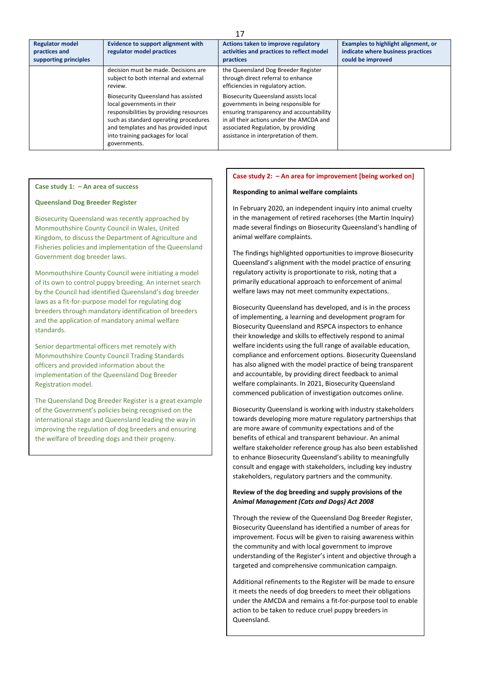| <b>Regulator model</b><br>practices and<br>supporting principles | <b>Evidence to support alignment with</b><br>regulator model practices                                                                                                                                                                            | ⊥<br>Actions taken to improve regulatory<br>activities and practices to reflect model<br>practices                                                                                                                                                          | Examples to highlight alignment, or<br>indicate where business practices<br>could be improved |
|------------------------------------------------------------------|---------------------------------------------------------------------------------------------------------------------------------------------------------------------------------------------------------------------------------------------------|-------------------------------------------------------------------------------------------------------------------------------------------------------------------------------------------------------------------------------------------------------------|-----------------------------------------------------------------------------------------------|
|                                                                  | decision must be made. Decisions are<br>subject to both internal and external<br>review.                                                                                                                                                          | the Queensland Dog Breeder Register<br>through direct referral to enhance<br>efficiencies in regulatory action.                                                                                                                                             |                                                                                               |
|                                                                  | Biosecurity Queensland has assisted<br>local governments in their<br>responsibilities by providing resources<br>such as standard operating procedures<br>and templates and has provided input<br>into training packages for local<br>governments. | <b>Biosecurity Queensland assists local</b><br>governments in being responsible for<br>ensuring transparency and accountability<br>in all their actions under the AMCDA and<br>associated Regulation, by providing<br>assistance in interpretation of them. |                                                                                               |

#### **Queensland Dog Breeder Register**

Biosecurity Queensland was recently approached by Monmouthshire County Council in Wales, United Kingdom, to discuss the Department of Agriculture and Fisheries policies and implementation of the Queensland Government dog breeder laws.

Monmouthshire County Council were initiating a model of its own to control puppy breeding. An internet search by the Council had identified Queensland's dog breeder laws as a fit-for-purpose model for regulating dog breeders through mandatory identification of breeders and the application of mandatory animal welfare standards.

Senior departmental officers met remotely with Monmouthshire County Council Trading Standards officers and provided information about the implementation of the Queensland Dog Breeder Registration model.

The Queensland Dog Breeder Register is a great example of the Government's policies being recognised on the international stage and Queensland leading the way in improving the regulation of dog breeders and ensuring the welfare of breeding dogs and their progeny.

#### **Case study 2: – An area for improvement [being worked on]**

#### **Responding to animal welfare complaints**

In February 2020, an independent inquiry into animal cruelty in the management of retired racehorses (the Martin Inquiry) made several findings on Biosecurity Queensland's handling of animal welfare complaints.

The findings highlighted opportunities to improve Biosecurity Queensland's alignment with the model practice of ensuring regulatory activity is proportionate to risk, noting that a primarily educational approach to enforcement of animal welfare laws may not meet community expectations.

Biosecurity Queensland has developed, and is in the process of implementing, a learning and development program for Biosecurity Queensland and RSPCA inspectors to enhance their knowledge and skills to effectively respond to animal welfare incidents using the full range of available education, compliance and enforcement options. Biosecurity Queensland has also aligned with the model practice of being transparent and accountable, by providing direct feedback to animal welfare complainants. In 2021, Biosecurity Queensland commenced publication of investigation outcomes online.

Biosecurity Queensland is working with industry stakeholders towards developing more mature regulatory partnerships that are more aware of community expectations and of the benefits of ethical and transparent behaviour. An animal welfare stakeholder reference group has also been established to enhance Biosecurity Queensland's ability to meaningfully consult and engage with stakeholders, including key industry stakeholders, regulatory partners and the community.

#### **Review of the dog breeding and supply provisions of the**  *Animal Management (Cats and Dogs) Act 2008*

Through the review of the Queensland Dog Breeder Register, Biosecurity Queensland has identified a number of areas for improvement. Focus will be given to raising awareness within the community and with local government to improve understanding of the Register's intent and objective through a targeted and comprehensive communication campaign.

Additional refinements to the Register will be made to ensure it meets the needs of dog breeders to meet their obligations under the AMCDA and remains a fit-for-purpose tool to enable action to be taken to reduce cruel puppy breeders in Queensland.

17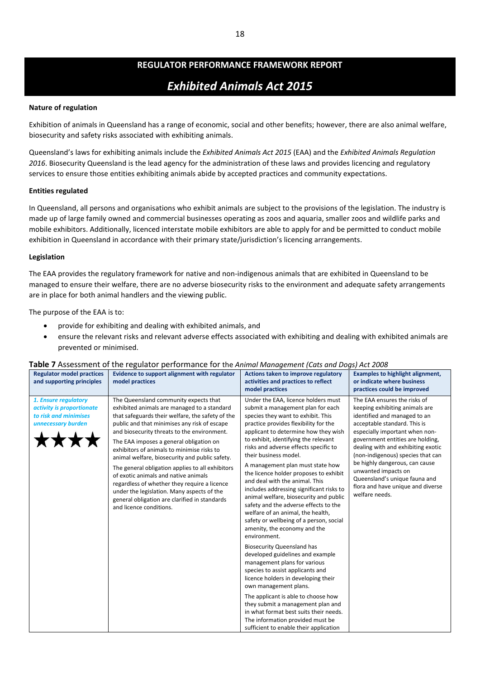# *Exhibited Animals Act 2015*

# **Nature of regulation**

Exhibition of animals in Queensland has a range of economic, social and other benefits; however, there are also animal welfare, biosecurity and safety risks associated with exhibiting animals.

Queensland's laws for exhibiting animals include the *Exhibited Animals Act 2015* (EAA) and the *Exhibited Animals Regulation 2016*. Biosecurity Queensland is the lead agency for the administration of these laws and provides licencing and regulatory services to ensure those entities exhibiting animals abide by accepted practices and community expectations.

## **Entities regulated**

In Queensland, all persons and organisations who exhibit animals are subject to the provisions of the legislation. The industry is made up of large family owned and commercial businesses operating as zoos and aquaria, smaller zoos and wildlife parks and mobile exhibitors. Additionally, licenced interstate mobile exhibitors are able to apply for and be permitted to conduct mobile exhibition in Queensland in accordance with their primary state/jurisdiction's licencing arrangements.

## **Legislation**

The EAA provides the regulatory framework for native and non-indigenous animals that are exhibited in Queensland to be managed to ensure their welfare, there are no adverse biosecurity risks to the environment and adequate safety arrangements are in place for both animal handlers and the viewing public.

The purpose of the EAA is to:

- provide for exhibiting and dealing with exhibited animals, and
- ensure the relevant risks and relevant adverse effects associated with exhibiting and dealing with exhibited animals are prevented or minimised.

| <b>Regulator model practices</b><br>and supporting principles                                    | Evidence to support alignment with regulator<br>model practices                                                                                                                                                                                                                                                                                                                                                                                                                                                                                                                                                                                          | Actions taken to improve regulatory<br>activities and practices to reflect<br>model practices                                                                                                                                                                                                                                                                                                                                                                                                                                                                                                                                                                                                                                                                                                                                                                                                                                                                                                                                                                                                             | <b>Examples to highlight alignment,</b><br>or indicate where business<br>practices could be improved                                                                                                                                                                                                                                                                                                                             |
|--------------------------------------------------------------------------------------------------|----------------------------------------------------------------------------------------------------------------------------------------------------------------------------------------------------------------------------------------------------------------------------------------------------------------------------------------------------------------------------------------------------------------------------------------------------------------------------------------------------------------------------------------------------------------------------------------------------------------------------------------------------------|-----------------------------------------------------------------------------------------------------------------------------------------------------------------------------------------------------------------------------------------------------------------------------------------------------------------------------------------------------------------------------------------------------------------------------------------------------------------------------------------------------------------------------------------------------------------------------------------------------------------------------------------------------------------------------------------------------------------------------------------------------------------------------------------------------------------------------------------------------------------------------------------------------------------------------------------------------------------------------------------------------------------------------------------------------------------------------------------------------------|----------------------------------------------------------------------------------------------------------------------------------------------------------------------------------------------------------------------------------------------------------------------------------------------------------------------------------------------------------------------------------------------------------------------------------|
| 1. Ensure regulatory<br>activity is proportionate<br>to risk and minimises<br>unnecessary burden | The Queensland community expects that<br>exhibited animals are managed to a standard<br>that safeguards their welfare, the safety of the<br>public and that minimises any risk of escape<br>and biosecurity threats to the environment.<br>The EAA imposes a general obligation on<br>exhibitors of animals to minimise risks to<br>animal welfare, biosecurity and public safety.<br>The general obligation applies to all exhibitors<br>of exotic animals and native animals<br>regardless of whether they require a licence<br>under the legislation. Many aspects of the<br>general obligation are clarified in standards<br>and licence conditions. | Under the EAA, licence holders must<br>submit a management plan for each<br>species they want to exhibit. This<br>practice provides flexibility for the<br>applicant to determine how they wish<br>to exhibit, identifying the relevant<br>risks and adverse effects specific to<br>their business model.<br>A management plan must state how<br>the licence holder proposes to exhibit<br>and deal with the animal. This<br>includes addressing significant risks to<br>animal welfare, biosecurity and public<br>safety and the adverse effects to the<br>welfare of an animal, the health,<br>safety or wellbeing of a person, social<br>amenity, the economy and the<br>environment.<br><b>Biosecurity Queensland has</b><br>developed guidelines and example<br>management plans for various<br>species to assist applicants and<br>licence holders in developing their<br>own management plans.<br>The applicant is able to choose how<br>they submit a management plan and<br>in what format best suits their needs.<br>The information provided must be<br>sufficient to enable their application | The EAA ensures the risks of<br>keeping exhibiting animals are<br>identified and managed to an<br>acceptable standard. This is<br>especially important when non-<br>government entities are holding,<br>dealing with and exhibiting exotic<br>(non-indigenous) species that can<br>be highly dangerous, can cause<br>unwanted impacts on<br>Queensland's unique fauna and<br>flora and have unique and diverse<br>welfare needs. |

# **Table 7** Assessment of the regulator performance for the *Animal Management (Cats and Dogs) Act 2008*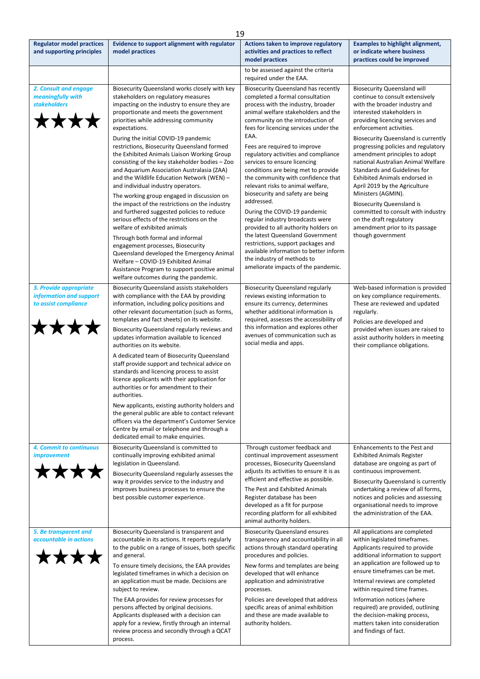|                                                                                   |                                                                                                                                                                                                                                                                                                                                                                                                                                                                                                                                                                                                                                                                                                                                                                                                                                                                                                                                                                                                                                                       | 19                                                                                                                                                                                                                                                                                                                                                                                                                                                                                                                                                                                                                                                                                                                                                                                                                        |                                                                                                                                                                                                                                                                                                                                                                                                                                                                                                                                                                                                                                              |
|-----------------------------------------------------------------------------------|-------------------------------------------------------------------------------------------------------------------------------------------------------------------------------------------------------------------------------------------------------------------------------------------------------------------------------------------------------------------------------------------------------------------------------------------------------------------------------------------------------------------------------------------------------------------------------------------------------------------------------------------------------------------------------------------------------------------------------------------------------------------------------------------------------------------------------------------------------------------------------------------------------------------------------------------------------------------------------------------------------------------------------------------------------|---------------------------------------------------------------------------------------------------------------------------------------------------------------------------------------------------------------------------------------------------------------------------------------------------------------------------------------------------------------------------------------------------------------------------------------------------------------------------------------------------------------------------------------------------------------------------------------------------------------------------------------------------------------------------------------------------------------------------------------------------------------------------------------------------------------------------|----------------------------------------------------------------------------------------------------------------------------------------------------------------------------------------------------------------------------------------------------------------------------------------------------------------------------------------------------------------------------------------------------------------------------------------------------------------------------------------------------------------------------------------------------------------------------------------------------------------------------------------------|
| <b>Regulator model practices</b><br>and supporting principles                     | Evidence to support alignment with regulator<br>model practices                                                                                                                                                                                                                                                                                                                                                                                                                                                                                                                                                                                                                                                                                                                                                                                                                                                                                                                                                                                       | Actions taken to improve regulatory<br>activities and practices to reflect<br>model practices                                                                                                                                                                                                                                                                                                                                                                                                                                                                                                                                                                                                                                                                                                                             | <b>Examples to highlight alignment,</b><br>or indicate where business<br>practices could be improved                                                                                                                                                                                                                                                                                                                                                                                                                                                                                                                                         |
|                                                                                   |                                                                                                                                                                                                                                                                                                                                                                                                                                                                                                                                                                                                                                                                                                                                                                                                                                                                                                                                                                                                                                                       | to be assessed against the criteria<br>required under the EAA.                                                                                                                                                                                                                                                                                                                                                                                                                                                                                                                                                                                                                                                                                                                                                            |                                                                                                                                                                                                                                                                                                                                                                                                                                                                                                                                                                                                                                              |
| 2. Consult and engage<br>meaningfully with<br><b>stakeholders</b><br><b>****</b>  | Biosecurity Queensland works closely with key<br>stakeholders on regulatory measures<br>impacting on the industry to ensure they are<br>proportionate and meets the government<br>priorities while addressing community<br>expectations.<br>During the initial COVID-19 pandemic<br>restrictions, Biosecurity Queensland formed<br>the Exhibited Animals Liaison Working Group<br>consisting of the key stakeholder bodies - Zoo<br>and Aquarium Association Australasia (ZAA)<br>and the Wildlife Education Network (WEN) -<br>and individual industry operators.<br>The working group engaged in discussion on<br>the impact of the restrictions on the industry<br>and furthered suggested policies to reduce<br>serious effects of the restrictions on the<br>welfare of exhibited animals<br>Through both formal and informal<br>engagement processes, Biosecurity<br>Queensland developed the Emergency Animal<br>Welfare - COVID-19 Exhibited Animal<br>Assistance Program to support positive animal<br>welfare outcomes during the pandemic. | Biosecurity Queensland has recently<br>completed a formal consultation<br>process with the industry, broader<br>animal welfare stakeholders and the<br>community on the introduction of<br>fees for licencing services under the<br>EAA.<br>Fees are required to improve<br>regulatory activities and compliance<br>services to ensure licencing<br>conditions are being met to provide<br>the community with confidence that<br>relevant risks to animal welfare,<br>biosecurity and safety are being<br>addressed.<br>During the COVID-19 pandemic<br>regular industry broadcasts were<br>provided to all authority holders on<br>the latest Queensland Government<br>restrictions, support packages and<br>available information to better inform<br>the industry of methods to<br>ameliorate impacts of the pandemic. | <b>Biosecurity Queensland will</b><br>continue to consult extensively<br>with the broader industry and<br>interested stakeholders in<br>providing licencing services and<br>enforcement activities.<br>Biosecurity Queensland is currently<br>progressing policies and regulatory<br>amendment principles to adopt<br>national Australian Animal Welfare<br>Standards and Guidelines for<br>Exhibited Animals endorsed in<br>April 2019 by the Agriculture<br>Ministers (AGMIN).<br><b>Biosecurity Queensland is</b><br>committed to consult with industry<br>on the draft regulatory<br>amendment prior to its passage<br>though government |
| 3. Provide appropriate<br>information and support<br>to assist compliance<br>**** | <b>Biosecurity Queensland assists stakeholders</b><br>with compliance with the EAA by providing<br>information, including policy positions and<br>other relevant documentation (such as forms,<br>templates and fact sheets) on its website.<br>Biosecurity Queensland regularly reviews and<br>updates information available to licenced<br>authorities on its website.<br>A dedicated team of Biosecurity Queensland<br>staff provide support and technical advice on<br>standards and licencing process to assist<br>licence applicants with their application for<br>authorities or for amendment to their<br>authorities.<br>New applicants, existing authority holders and<br>the general public are able to contact relevant<br>officers via the department's Customer Service<br>Centre by email or telephone and through a<br>dedicated email to make enquiries.                                                                                                                                                                             | <b>Biosecurity Queensland regularly</b><br>reviews existing information to<br>ensure its currency, determines<br>whether additional information is<br>required, assesses the accessibility of<br>this information and explores other<br>avenues of communication such as<br>social media and apps.                                                                                                                                                                                                                                                                                                                                                                                                                                                                                                                        | Web-based information is provided<br>on key compliance requirements.<br>These are reviewed and updated<br>regularly.<br>Policies are developed and<br>provided when issues are raised to<br>assist authority holders in meeting<br>their compliance obligations.                                                                                                                                                                                                                                                                                                                                                                             |
| 4. Commit to continuous<br><i>improvement</i><br><b>7★★★</b>                      | Biosecurity Queensland is committed to<br>continually improving exhibited animal<br>legislation in Queensland.<br>Biosecurity Queensland regularly assesses the<br>way it provides service to the industry and<br>improves business processes to ensure the<br>best possible customer experience.                                                                                                                                                                                                                                                                                                                                                                                                                                                                                                                                                                                                                                                                                                                                                     | Through customer feedback and<br>continual improvement assessment<br>processes, Biosecurity Queensland<br>adjusts its activities to ensure it is as<br>efficient and effective as possible.<br>The Pest and Exhibited Animals<br>Register database has been<br>developed as a fit for purpose<br>recording platform for all exhibited<br>animal authority holders.                                                                                                                                                                                                                                                                                                                                                                                                                                                        | Enhancements to the Pest and<br><b>Exhibited Animals Register</b><br>database are ongoing as part of<br>continuous improvement.<br>Biosecurity Queensland is currently<br>undertaking a review of all forms,<br>notices and policies and assessing<br>organisational needs to improve<br>the administration of the EAA.                                                                                                                                                                                                                                                                                                                      |
| 5. Be transparent and<br>accountable in actions<br><b>7★★★</b>                    | Biosecurity Queensland is transparent and<br>accountable in its actions. It reports regularly<br>to the public on a range of issues, both specific<br>and general.<br>To ensure timely decisions, the EAA provides<br>legislated timeframes in which a decision on<br>an application must be made. Decisions are<br>subject to review.<br>The EAA provides for review processes for<br>persons affected by original decisions.<br>Applicants displeased with a decision can<br>apply for a review, firstly through an internal<br>review process and secondly through a QCAT<br>process.                                                                                                                                                                                                                                                                                                                                                                                                                                                              | <b>Biosecurity Queensland ensures</b><br>transparency and accountability in all<br>actions through standard operating<br>procedures and policies.<br>New forms and templates are being<br>developed that will enhance<br>application and administrative<br>processes.<br>Policies are developed that address<br>specific areas of animal exhibition<br>and these are made available to<br>authority holders.                                                                                                                                                                                                                                                                                                                                                                                                              | All applications are completed<br>within legislated timeframes.<br>Applicants required to provide<br>additional information to support<br>an application are followed up to<br>ensure timeframes can be met.<br>Internal reviews are completed<br>within required time frames.<br>Information notices (where<br>required) are provided, outlining<br>the decision-making process,<br>matters taken into consideration<br>and findings of fact.                                                                                                                                                                                               |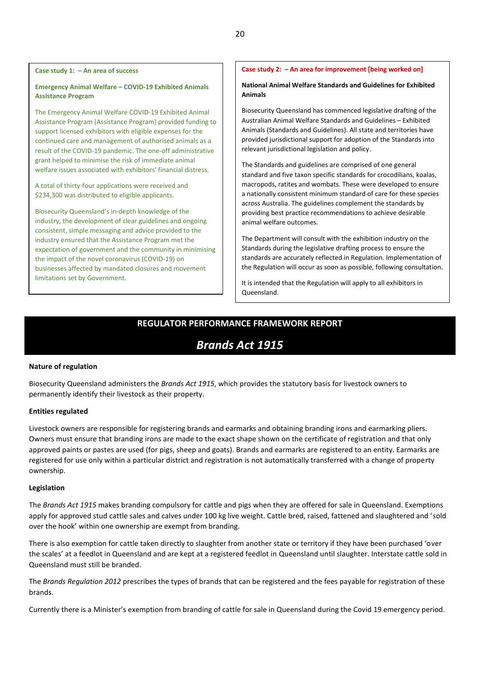### **Emergency Animal Welfare – COVID-19 Exhibited Animals Assistance Program**

The Emergency Animal Welfare COVID-19 Exhibited Animal Assistance Program (Assistance Program) provided funding to support licensed exhibitors with eligible expenses for the continued care and management of authorised animals as a result of the COVID-19 pandemic. The one-off administrative grant helped to minimise the risk of immediate animal welfare issues associated with exhibitors' financial distress.

A total of thirty-four applications were received and \$234,300 was distributed to eligible applicants.

Biosecurity Queensland's in-depth knowledge of the industry, the development of clear guidelines and ongoing consistent, simple messaging and advice provided to the industry ensured that the Assistance Program met the expectation of government and the community in minimising the impact of the novel coronavirus (COVID-19) on businesses affected by mandated closures and movement limitations set by Government.

## **Case study 2: – An area for improvement [being worked on]**

### **National Animal Welfare Standards and Guidelines for Exhibited Animals**

Biosecurity Queensland has commenced legislative drafting of the Australian Animal Welfare Standards and Guidelines – Exhibited Animals (Standards and Guidelines). All state and territories have provided jurisdictional support for adoption of the Standards into relevant jurisdictional legislation and policy.

The Standards and guidelines are comprised of one general standard and five taxon specific standards for crocodilians, koalas, macropods, ratites and wombats. These were developed to ensure a nationally consistent minimum standard of care for these species across Australia. The guidelines complement the standards by providing best practice recommendations to achieve desirable animal welfare outcomes.

The Department will consult with the exhibition industry on the Standards during the legislative drafting process to ensure the standards are accurately reflected in Regulation. Implementation of the Regulation will occur as soon as possible, following consultation.

It is intended that the Regulation will apply to all exhibitors in Queensland.

# **REGULATOR PERFORMANCE FRAMEWORK REPORT**

# *Brands Act 1915*

#### **Nature of regulation**

Biosecurity Queensland administers the *Brands Act 1915*, which provides the statutory basis for livestock owners to permanently identify their livestock as their property.

#### **Entities regulated**

Livestock owners are responsible for registering brands and earmarks and obtaining branding irons and earmarking pliers. Owners must ensure that branding irons are made to the exact shape shown on the certificate of registration and that only approved paints or pastes are used (for pigs, sheep and goats). Brands and earmarks are registered to an entity. Earmarks are registered for use only within a particular district and registration is not automatically transferred with a change of property ownership.

#### **Legislation**

The *Brands Act 1915* makes branding compulsory for cattle and pigs when they are offered for sale in Queensland. Exemptions apply for approved stud cattle sales and calves under 100 kg live weight. Cattle bred, raised, fattened and slaughtered and 'sold over the hook' within one ownership are exempt from branding.

There is also exemption for cattle taken directly to slaughter from another state or territory if they have been purchased 'over the scales' at a feedlot in Queensland and are kept at a registered feedlot in Queensland until slaughter. Interstate cattle sold in Queensland must still be branded.

The *Brands Regulation 2012* prescribes the types of brands that can be registered and the fees payable for registration of these brands.

Currently there is a Minister's exemption from branding of cattle for sale in Queensland during the Covid 19 emergency period.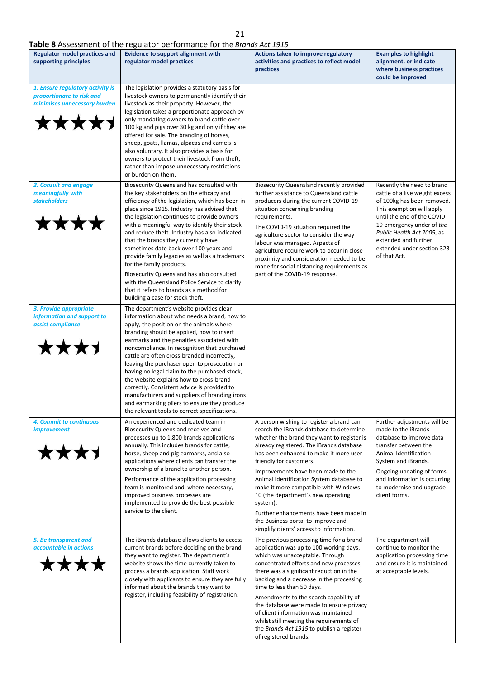# **Table 8** Assessment of the regulator performance for the *Brands Act 1915*

|                                                                                                        | <b>Table 8</b> Assessment of the regulator performance for the <i>Brands Act 1915</i>                                                                                                                                                                                                                                                                                                                                                                                                                                                                                                                                                                                                  |                                                                                                                                                                                                                                                                                                                                                                                                                                                                                                                                                             |                                                                                                                                                                                                                                                                                         |
|--------------------------------------------------------------------------------------------------------|----------------------------------------------------------------------------------------------------------------------------------------------------------------------------------------------------------------------------------------------------------------------------------------------------------------------------------------------------------------------------------------------------------------------------------------------------------------------------------------------------------------------------------------------------------------------------------------------------------------------------------------------------------------------------------------|-------------------------------------------------------------------------------------------------------------------------------------------------------------------------------------------------------------------------------------------------------------------------------------------------------------------------------------------------------------------------------------------------------------------------------------------------------------------------------------------------------------------------------------------------------------|-----------------------------------------------------------------------------------------------------------------------------------------------------------------------------------------------------------------------------------------------------------------------------------------|
| <b>Regulator model practices and</b><br>supporting principles                                          | <b>Evidence to support alignment with</b><br>regulator model practices                                                                                                                                                                                                                                                                                                                                                                                                                                                                                                                                                                                                                 | Actions taken to improve regulatory<br>activities and practices to reflect model<br>practices                                                                                                                                                                                                                                                                                                                                                                                                                                                               | <b>Examples to highlight</b><br>alignment, or indicate<br>where business practices<br>could be improved                                                                                                                                                                                 |
| 1. Ensure regulatory activity is<br>proportionate to risk and<br>minimises unnecessary burden<br>★★★★★ | The legislation provides a statutory basis for<br>livestock owners to permanently identify their<br>livestock as their property. However, the<br>legislation takes a proportionate approach by<br>only mandating owners to brand cattle over<br>100 kg and pigs over 30 kg and only if they are<br>offered for sale. The branding of horses,<br>sheep, goats, llamas, alpacas and camels is<br>also voluntary. It also provides a basis for<br>owners to protect their livestock from theft,<br>rather than impose unnecessary restrictions<br>or burden on them.                                                                                                                      |                                                                                                                                                                                                                                                                                                                                                                                                                                                                                                                                                             |                                                                                                                                                                                                                                                                                         |
| 2. Consult and engage<br>meaningfully with<br><b>stakeholders</b>                                      | Biosecurity Queensland has consulted with<br>the key stakeholders on the efficacy and<br>efficiency of the legislation, which has been in<br>place since 1915. Industry has advised that<br>the legislation continues to provide owners<br>with a meaningful way to identify their stock<br>and reduce theft. Industry has also indicated<br>that the brands they currently have<br>sometimes date back over 100 years and<br>provide family legacies as well as a trademark<br>for the family products.<br>Biosecurity Queensland has also consulted<br>with the Queensland Police Service to clarify<br>that it refers to brands as a method for<br>building a case for stock theft. | Biosecurity Queensland recently provided<br>further assistance to Queensland cattle<br>producers during the current COVID-19<br>situation concerning branding<br>requirements.<br>The COVID-19 situation required the<br>agriculture sector to consider the way<br>labour was managed. Aspects of<br>agriculture require work to occur in close<br>proximity and consideration needed to be<br>made for social distancing requirements as<br>part of the COVID-19 response.                                                                                 | Recently the need to brand<br>cattle of a live weight excess<br>of 100kg has been removed.<br>This exemption will apply<br>until the end of the COVID-<br>19 emergency under of the<br>Public Health Act 2005, as<br>extended and further<br>extended under section 323<br>of that Act. |
| 3. Provide appropriate<br>information and support to<br>assist compliance<br>★★★★                      | The department's website provides clear<br>information about who needs a brand, how to<br>apply, the position on the animals where<br>branding should be applied, how to insert<br>earmarks and the penalties associated with<br>noncompliance. In recognition that purchased<br>cattle are often cross-branded incorrectly,<br>leaving the purchaser open to prosecution or<br>having no legal claim to the purchased stock,<br>the website explains how to cross-brand<br>correctly. Consistent advice is provided to<br>manufacturers and suppliers of branding irons<br>and earmarking pliers to ensure they produce<br>the relevant tools to correct specifications.              |                                                                                                                                                                                                                                                                                                                                                                                                                                                                                                                                                             |                                                                                                                                                                                                                                                                                         |
| 4. Commit to continuous<br><i>improvement</i><br><b>****</b>                                           | An experienced and dedicated team in<br>Biosecurity Queensland receives and<br>processes up to 1,800 brands applications<br>annually. This includes brands for cattle,<br>horse, sheep and pig earmarks, and also<br>applications where clients can transfer the<br>ownership of a brand to another person.<br>Performance of the application processing<br>team is monitored and, where necessary,<br>improved business processes are<br>implemented to provide the best possible<br>service to the client.                                                                                                                                                                           | A person wishing to register a brand can<br>search the iBrands database to determine<br>whether the brand they want to register is<br>already registered. The iBrands database<br>has been enhanced to make it more user<br>friendly for customers.<br>Improvements have been made to the<br>Animal Identification System database to<br>make it more compatible with Windows<br>10 (the department's new operating<br>system).<br>Further enhancements have been made in<br>the Business portal to improve and<br>simplify clients' access to information. | Further adjustments will be<br>made to the iBrands<br>database to improve data<br>transfer between the<br>Animal Identification<br>System and iBrands.<br>Ongoing updating of forms<br>and information is occurring<br>to modernise and upgrade<br>client forms.                        |
| 5. Be transparent and<br>accountable in actions<br>****                                                | The iBrands database allows clients to access<br>current brands before deciding on the brand<br>they want to register. The department's<br>website shows the time currently taken to<br>process a brands application. Staff work<br>closely with applicants to ensure they are fully<br>informed about the brands they want to<br>register, including feasibility of registration.                                                                                                                                                                                                                                                                                                     | The previous processing time for a brand<br>application was up to 100 working days,<br>which was unacceptable. Through<br>concentrated efforts and new processes,<br>there was a significant reduction in the<br>backlog and a decrease in the processing<br>time to less than 50 days.<br>Amendments to the search capability of<br>the database were made to ensure privacy<br>of client information was maintained<br>whilst still meeting the requirements of<br>the Brands Act 1915 to publish a register<br>of registered brands.                     | The department will<br>continue to monitor the<br>application processing time<br>and ensure it is maintained<br>at acceptable levels.                                                                                                                                                   |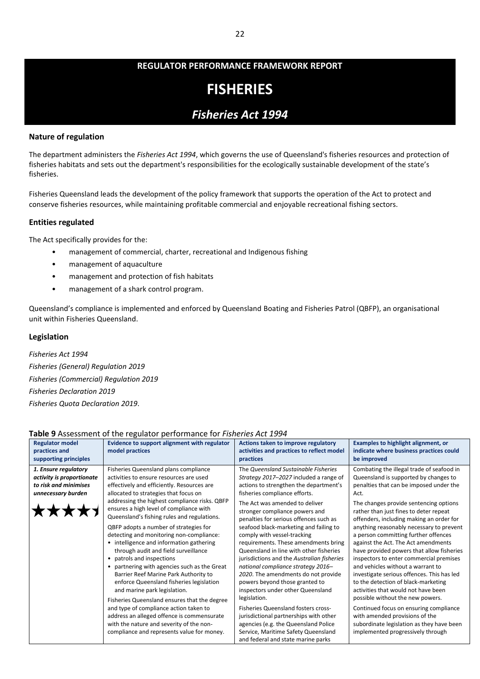# **FISHERIES**

# *Fisheries Act 1994*

# **Nature of regulation**

The department administers the *Fisheries Act 1994*, which governs the use of Queensland's fisheries resources and protection of fisheries habitats and sets out the department's responsibilities for the ecologically sustainable development of the state's fisheries.

Fisheries Queensland leads the development of the policy framework that supports the operation of the Act to protect and conserve fisheries resources, while maintaining profitable commercial and enjoyable recreational fishing sectors.

# **Entities regulated**

The Act specifically provides for the:

- management of commercial, charter, recreational and Indigenous fishing
- management of aquaculture
- management and protection of fish habitats
- management of a shark control program.

Queensland's compliance is implemented and enforced by Queensland Boating and Fisheries Patrol (QBFP), an organisational unit within Fisheries Queensland.

# **Legislation**

*Fisheries Act 1994 Fisheries (General) Regulation 2019 Fisheries (Commercial) Regulation 2019 Fisheries Declaration 2019 Fisheries Quota Declaration 2019*.

# **Table 9** Assessment of the regulator performance for *Fisheries Act 1994*

|                           | <b>Papic 3</b> Assessment of the regulator performance for <i>Fishenes</i> Act 1994                                                     |                                                                                                                       |                                                                                                                              |
|---------------------------|-----------------------------------------------------------------------------------------------------------------------------------------|-----------------------------------------------------------------------------------------------------------------------|------------------------------------------------------------------------------------------------------------------------------|
| <b>Regulator model</b>    | Evidence to support alignment with regulator                                                                                            | Actions taken to improve regulatory                                                                                   | <b>Examples to highlight alignment, or</b>                                                                                   |
| practices and             | model practices                                                                                                                         | activities and practices to reflect model                                                                             | indicate where business practices could                                                                                      |
| supporting principles     |                                                                                                                                         | practices                                                                                                             | be improved                                                                                                                  |
| 1. Ensure regulatory      | Fisheries Queensland plans compliance                                                                                                   | The Queensland Sustainable Fisheries                                                                                  | Combating the illegal trade of seafood in                                                                                    |
| activity is proportionate | activities to ensure resources are used                                                                                                 | Strategy 2017-2027 included a range of                                                                                | Queensland is supported by changes to                                                                                        |
| to risk and minimises     | effectively and efficiently. Resources are                                                                                              | actions to strengthen the department's                                                                                | penalties that can be imposed under the                                                                                      |
| unnecessary burden        | allocated to strategies that focus on                                                                                                   | fisheries compliance efforts.                                                                                         | Act.                                                                                                                         |
|                           | addressing the highest compliance risks. QBFP<br>ensures a high level of compliance with<br>Queensland's fishing rules and regulations. | The Act was amended to deliver<br>stronger compliance powers and<br>penalties for serious offences such as            | The changes provide sentencing options<br>rather than just fines to deter repeat<br>offenders, including making an order for |
|                           | QBFP adopts a number of strategies for<br>detecting and monitoring non-compliance:<br>• intelligence and information gathering          | seafood black-marketing and failing to<br>comply with vessel-tracking<br>requirements. These amendments bring         | anything reasonably necessary to prevent<br>a person committing further offences<br>against the Act. The Act amendments      |
|                           | through audit and field surveillance                                                                                                    | Queensland in line with other fisheries                                                                               | have provided powers that allow fisheries                                                                                    |
|                           | patrols and inspections<br>$\bullet$                                                                                                    | jurisdictions and the Australian fisheries                                                                            | inspectors to enter commercial premises                                                                                      |
|                           | partnering with agencies such as the Great<br>٠                                                                                         | national compliance strategy 2016-                                                                                    | and vehicles without a warrant to                                                                                            |
|                           | Barrier Reef Marine Park Authority to<br>enforce Queensland fisheries legislation<br>and marine park legislation.                       | 2020. The amendments do not provide<br>powers beyond those granted to<br>inspectors under other Queensland            | investigate serious offences. This has led<br>to the detection of black-marketing<br>activities that would not have been     |
|                           | Fisheries Queensland ensures that the degree                                                                                            | legislation.                                                                                                          | possible without the new powers.                                                                                             |
|                           | and type of compliance action taken to<br>address an alleged offence is commensurate<br>with the nature and severity of the non-        | Fisheries Queensland fosters cross-<br>jurisdictional partnerships with other<br>agencies (e.g. the Queensland Police | Continued focus on ensuring compliance<br>with amended provisions of the<br>subordinate legislation as they have been        |
|                           | compliance and represents value for money.                                                                                              | Service, Maritime Safety Queensland<br>and federal and state marine parks                                             | implemented progressively through                                                                                            |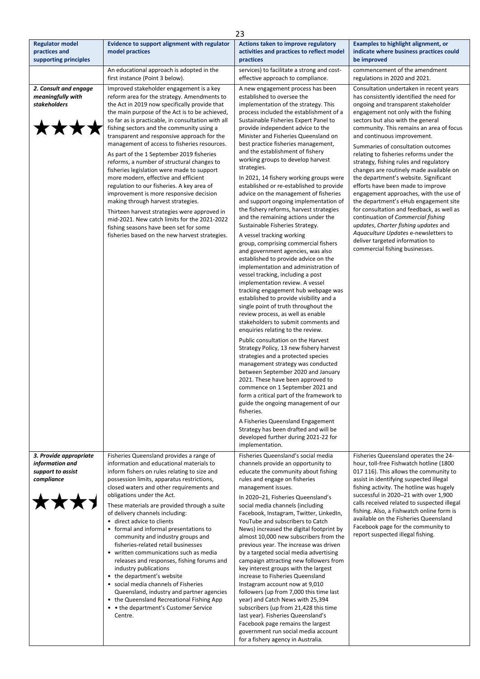|                                                                              |                                                                                                                                                                                                                                                                                                                                                                                                                                                                                                                                                                                                                                                                                                                                                                                                                                                                                                          | 23                                                                                                                                                                                                                                                                                                                                                                                                                                                                                                                                                                                                                                                                                                                                                                                                                                                                                                                                                                                                                                                                                                                                                                                                                                                                                                                                                                                                                                                                                                                                                                                                                                                                                                                                      |                                                                                                                                                                                                                                                                                                                                                                                                                                                                                                                                                                                                                                                                                                                                                                                                                                                                   |
|------------------------------------------------------------------------------|----------------------------------------------------------------------------------------------------------------------------------------------------------------------------------------------------------------------------------------------------------------------------------------------------------------------------------------------------------------------------------------------------------------------------------------------------------------------------------------------------------------------------------------------------------------------------------------------------------------------------------------------------------------------------------------------------------------------------------------------------------------------------------------------------------------------------------------------------------------------------------------------------------|-----------------------------------------------------------------------------------------------------------------------------------------------------------------------------------------------------------------------------------------------------------------------------------------------------------------------------------------------------------------------------------------------------------------------------------------------------------------------------------------------------------------------------------------------------------------------------------------------------------------------------------------------------------------------------------------------------------------------------------------------------------------------------------------------------------------------------------------------------------------------------------------------------------------------------------------------------------------------------------------------------------------------------------------------------------------------------------------------------------------------------------------------------------------------------------------------------------------------------------------------------------------------------------------------------------------------------------------------------------------------------------------------------------------------------------------------------------------------------------------------------------------------------------------------------------------------------------------------------------------------------------------------------------------------------------------------------------------------------------------|-------------------------------------------------------------------------------------------------------------------------------------------------------------------------------------------------------------------------------------------------------------------------------------------------------------------------------------------------------------------------------------------------------------------------------------------------------------------------------------------------------------------------------------------------------------------------------------------------------------------------------------------------------------------------------------------------------------------------------------------------------------------------------------------------------------------------------------------------------------------|
| <b>Regulator model</b><br>practices and<br>supporting principles             | Evidence to support alignment with regulator<br>model practices                                                                                                                                                                                                                                                                                                                                                                                                                                                                                                                                                                                                                                                                                                                                                                                                                                          | Actions taken to improve regulatory<br>activities and practices to reflect model<br>practices                                                                                                                                                                                                                                                                                                                                                                                                                                                                                                                                                                                                                                                                                                                                                                                                                                                                                                                                                                                                                                                                                                                                                                                                                                                                                                                                                                                                                                                                                                                                                                                                                                           | <b>Examples to highlight alignment, or</b><br>indicate where business practices could<br>be improved                                                                                                                                                                                                                                                                                                                                                                                                                                                                                                                                                                                                                                                                                                                                                              |
|                                                                              | An educational approach is adopted in the<br>first instance (Point 3 below).                                                                                                                                                                                                                                                                                                                                                                                                                                                                                                                                                                                                                                                                                                                                                                                                                             | services) to facilitate a strong and cost-<br>effective approach to compliance.                                                                                                                                                                                                                                                                                                                                                                                                                                                                                                                                                                                                                                                                                                                                                                                                                                                                                                                                                                                                                                                                                                                                                                                                                                                                                                                                                                                                                                                                                                                                                                                                                                                         | commencement of the amendment<br>regulations in 2020 and 2021.                                                                                                                                                                                                                                                                                                                                                                                                                                                                                                                                                                                                                                                                                                                                                                                                    |
| 2. Consult and engage<br>meaningfully with<br><b>stakeholders</b>            | Improved stakeholder engagement is a key<br>reform area for the strategy. Amendments to<br>the Act in 2019 now specifically provide that<br>the main purpose of the Act is to be achieved,<br>so far as is practicable, in consultation with all<br>fishing sectors and the community using a<br>transparent and responsive approach for the<br>management of access to fisheries resources.<br>As part of the 1 September 2019 fisheries<br>reforms, a number of structural changes to<br>fisheries legislation were made to support<br>more modern, effective and efficient<br>regulation to our fisheries. A key area of<br>improvement is more responsive decision<br>making through harvest strategies.<br>Thirteen harvest strategies were approved in<br>mid-2021. New catch limits for the 2021-2022<br>fishing seasons have been set for some<br>fisheries based on the new harvest strategies. | A new engagement process has been<br>established to oversee the<br>implementation of the strategy. This<br>process included the establishment of a<br>Sustainable Fisheries Expert Panel to<br>provide independent advice to the<br>Minister and Fisheries Queensland on<br>best practice fisheries management,<br>and the establishment of fishery<br>working groups to develop harvest<br>strategies.<br>In 2021, 14 fishery working groups were<br>established or re-established to provide<br>advice on the management of fisheries<br>and support ongoing implementation of<br>the fishery reforms, harvest strategies<br>and the remaining actions under the<br>Sustainable Fisheries Strategy.<br>A vessel tracking working<br>group, comprising commercial fishers<br>and government agencies, was also<br>established to provide advice on the<br>implementation and administration of<br>vessel tracking, including a post<br>implementation review. A vessel<br>tracking engagement hub webpage was<br>established to provide visibility and a<br>single point of truth throughout the<br>review process, as well as enable<br>stakeholders to submit comments and<br>enquiries relating to the review.<br>Public consultation on the Harvest<br>Strategy Policy, 13 new fishery harvest<br>strategies and a protected species<br>management strategy was conducted<br>between September 2020 and January<br>2021. These have been approved to<br>commence on 1 September 2021 and<br>form a critical part of the framework to<br>guide the ongoing management of our<br>fisheries.<br>A Fisheries Queensland Engagement<br>Strategy has been drafted and will be<br>developed further during 2021-22 for<br>implementation. | Consultation undertaken in recent years<br>has consistently identified the need for<br>ongoing and transparent stakeholder<br>engagement not only with the fishing<br>sectors but also with the general<br>community. This remains an area of focus<br>and continuous improvement.<br>Summaries of consultation outcomes<br>relating to fisheries reforms under the<br>strategy, fishing rules and regulatory<br>changes are routinely made available on<br>the department's website. Significant<br>efforts have been made to improve<br>engagement approaches, with the use of<br>the department's eHub engagement site<br>for consultation and feedback, as well as<br>continuation of Commercial fishing<br>updates, Charter fishing updates and<br>Aquaculture Updates e-newsletters to<br>deliver targeted information to<br>commercial fishing businesses. |
| 3. Provide appropriate<br>information and<br>support to assist<br>compliance | Fisheries Queensland provides a range of<br>information and educational materials to<br>inform fishers on rules relating to size and<br>possession limits, apparatus restrictions,<br>closed waters and other requirements and<br>obligations under the Act.<br>These materials are provided through a suite<br>of delivery channels including:<br>• direct advice to clients<br>• formal and informal presentations to<br>community and industry groups and<br>fisheries-related retail businesses<br>• written communications such as media<br>releases and responses, fishing forums and<br>industry publications<br>• the department's website<br>• social media channels of Fisheries<br>Queensland, industry and partner agencies<br>• the Queensland Recreational Fishing App<br>• • the department's Customer Service<br>Centre.                                                                 | Fisheries Queensland's social media<br>channels provide an opportunity to<br>educate the community about fishing<br>rules and engage on fisheries<br>management issues.<br>In 2020-21, Fisheries Queensland's<br>social media channels (including<br>Facebook, Instagram, Twitter, LinkedIn,<br>YouTube and subscribers to Catch<br>News) increased the digital footprint by<br>almost 10,000 new subscribers from the<br>previous year. The increase was driven<br>by a targeted social media advertising<br>campaign attracting new followers from<br>key interest groups with the largest<br>increase to Fisheries Queensland<br>Instagram account now at 9,010<br>followers (up from 7,000 this time last<br>year) and Catch News with 25,394<br>subscribers (up from 21,428 this time<br>last year). Fisheries Queensland's<br>Facebook page remains the largest<br>government run social media account<br>for a fishery agency in Australia.                                                                                                                                                                                                                                                                                                                                                                                                                                                                                                                                                                                                                                                                                                                                                                                      | Fisheries Queensland operates the 24-<br>hour, toll-free Fishwatch hotline (1800<br>017 116). This allows the community to<br>assist in identifying suspected illegal<br>fishing activity. The hotline was hugely<br>successful in 2020-21 with over 1,900<br>calls received related to suspected illegal<br>fishing. Also, a Fishwatch online form is<br>available on the Fisheries Queensland<br>Facebook page for the community to<br>report suspected illegal fishing.                                                                                                                                                                                                                                                                                                                                                                                        |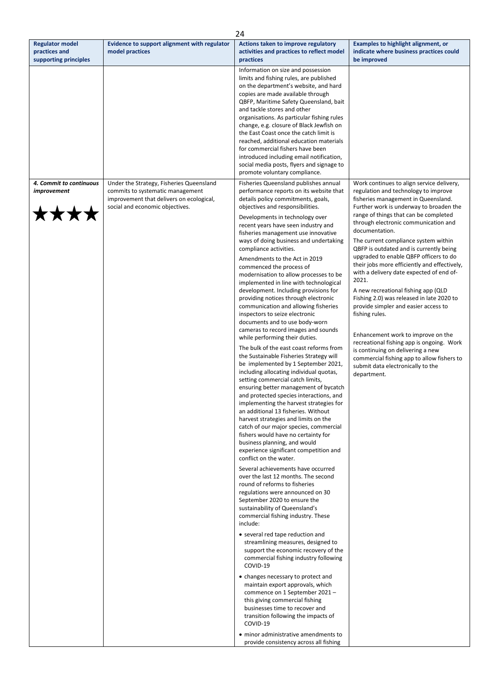| <b>Regulator model</b><br>Evidence to support alignment with regulator<br>Actions taken to improve regulatory<br><b>Examples to highlight alignment, or</b><br>practices and<br>model practices<br>indicate where business practices could<br>activities and practices to reflect model<br>supporting principles<br>practices<br>be improved<br>Information on size and possession<br>limits and fishing rules, are published<br>on the department's website, and hard<br>copies are made available through<br>QBFP, Maritime Safety Queensland, bait<br>and tackle stores and other<br>organisations. As particular fishing rules<br>change, e.g. closure of Black Jewfish on<br>the East Coast once the catch limit is<br>reached, additional education materials<br>for commercial fishers have been<br>introduced including email notification,<br>social media posts, flyers and signage to<br>promote voluntary compliance.<br>4. Commit to continuous<br>Under the Strategy, Fisheries Queensland<br>Fisheries Queensland publishes annual<br>Work continues to align service delivery,<br>improvement<br>commits to systematic management<br>performance reports on its website that<br>regulation and technology to improve<br>improvement that delivers on ecological,<br>details policy commitments, goals,<br>fisheries management in Queensland.<br>social and economic objectives.<br>objectives and responsibilities.<br>Further work is underway to broaden the<br>range of things that can be completed<br>Developments in technology over<br>through electronic communication and<br>recent years have seen industry and<br>documentation.<br>fisheries management use innovative<br>ways of doing business and undertaking<br>The current compliance system within<br>compliance activities.<br>QBFP is outdated and is currently being<br>upgraded to enable QBFP officers to do<br>Amendments to the Act in 2019<br>commenced the process of<br>with a delivery date expected of end of-<br>modernisation to allow processes to be<br>2021.<br>implemented in line with technological<br>development. Including provisions for<br>A new recreational fishing app (QLD<br>Fishing 2.0) was released in late 2020 to<br>providing notices through electronic<br>communication and allowing fisheries<br>provide simpler and easier access to<br>inspectors to seize electronic<br>fishing rules.<br>documents and to use body-worn<br>cameras to record images and sounds<br>Enhancement work to improve on the<br>while performing their duties.<br>The bulk of the east coast reforms from<br>is continuing on delivering a new<br>the Sustainable Fisheries Strategy will<br>be implemented by 1 September 2021,<br>submit data electronically to the<br>including allocating individual quotas,<br>department.<br>setting commercial catch limits,<br>ensuring better management of bycatch<br>and protected species interactions, and<br>implementing the harvest strategies for<br>an additional 13 fisheries. Without<br>harvest strategies and limits on the<br>catch of our major species, commercial<br>fishers would have no certainty for<br>business planning, and would<br>experience significant competition and<br>conflict on the water.<br>Several achievements have occurred<br>over the last 12 months. The second<br>round of reforms to fisheries<br>regulations were announced on 30<br>September 2020 to ensure the<br>sustainability of Queensland's<br>commercial fishing industry. These<br>include:<br>• several red tape reduction and<br>streamlining measures, designed to<br>support the economic recovery of the<br>commercial fishing industry following<br>COVID-19<br>• changes necessary to protect and<br>maintain export approvals, which |  | 24                             |                                                                                                                                         |
|-----------------------------------------------------------------------------------------------------------------------------------------------------------------------------------------------------------------------------------------------------------------------------------------------------------------------------------------------------------------------------------------------------------------------------------------------------------------------------------------------------------------------------------------------------------------------------------------------------------------------------------------------------------------------------------------------------------------------------------------------------------------------------------------------------------------------------------------------------------------------------------------------------------------------------------------------------------------------------------------------------------------------------------------------------------------------------------------------------------------------------------------------------------------------------------------------------------------------------------------------------------------------------------------------------------------------------------------------------------------------------------------------------------------------------------------------------------------------------------------------------------------------------------------------------------------------------------------------------------------------------------------------------------------------------------------------------------------------------------------------------------------------------------------------------------------------------------------------------------------------------------------------------------------------------------------------------------------------------------------------------------------------------------------------------------------------------------------------------------------------------------------------------------------------------------------------------------------------------------------------------------------------------------------------------------------------------------------------------------------------------------------------------------------------------------------------------------------------------------------------------------------------------------------------------------------------------------------------------------------------------------------------------------------------------------------------------------------------------------------------------------------------------------------------------------------------------------------------------------------------------------------------------------------------------------------------------------------------------------------------------------------------------------------------------------------------------------------------------------------------------------------------------------------------------------------------------------------------------------------------------------------------------------------------------------------------------------------------------------------------------------------------------------------------------------------------------------------------------------------------------------------------------------------------------------------------------------------------------------------------------------------------------------------------------------------------------------------------------------------------------------------------------------------------------|--|--------------------------------|-----------------------------------------------------------------------------------------------------------------------------------------|
|                                                                                                                                                                                                                                                                                                                                                                                                                                                                                                                                                                                                                                                                                                                                                                                                                                                                                                                                                                                                                                                                                                                                                                                                                                                                                                                                                                                                                                                                                                                                                                                                                                                                                                                                                                                                                                                                                                                                                                                                                                                                                                                                                                                                                                                                                                                                                                                                                                                                                                                                                                                                                                                                                                                                                                                                                                                                                                                                                                                                                                                                                                                                                                                                                                                                                                                                                                                                                                                                                                                                                                                                                                                                                                                                                                                                     |  |                                |                                                                                                                                         |
|                                                                                                                                                                                                                                                                                                                                                                                                                                                                                                                                                                                                                                                                                                                                                                                                                                                                                                                                                                                                                                                                                                                                                                                                                                                                                                                                                                                                                                                                                                                                                                                                                                                                                                                                                                                                                                                                                                                                                                                                                                                                                                                                                                                                                                                                                                                                                                                                                                                                                                                                                                                                                                                                                                                                                                                                                                                                                                                                                                                                                                                                                                                                                                                                                                                                                                                                                                                                                                                                                                                                                                                                                                                                                                                                                                                                     |  |                                |                                                                                                                                         |
| this giving commercial fishing<br>businesses time to recover and<br>transition following the impacts of<br>COVID-19<br>• minor administrative amendments to<br>provide consistency across all fishing                                                                                                                                                                                                                                                                                                                                                                                                                                                                                                                                                                                                                                                                                                                                                                                                                                                                                                                                                                                                                                                                                                                                                                                                                                                                                                                                                                                                                                                                                                                                                                                                                                                                                                                                                                                                                                                                                                                                                                                                                                                                                                                                                                                                                                                                                                                                                                                                                                                                                                                                                                                                                                                                                                                                                                                                                                                                                                                                                                                                                                                                                                                                                                                                                                                                                                                                                                                                                                                                                                                                                                                               |  | commence on 1 September 2021 - | their jobs more efficiently and effectively,<br>recreational fishing app is ongoing. Work<br>commercial fishing app to allow fishers to |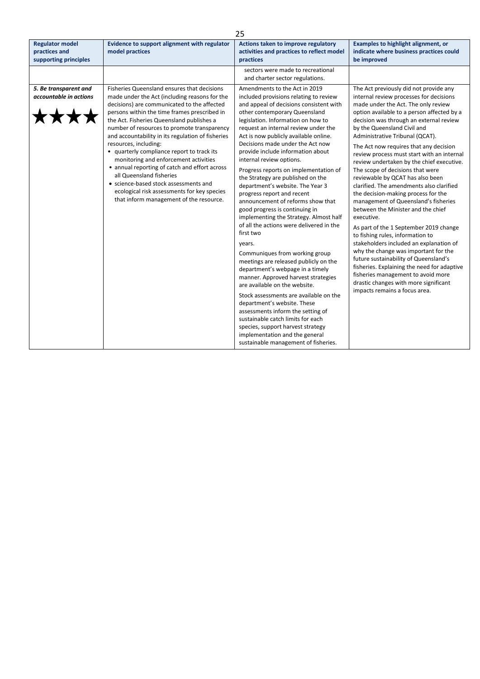|                                                                  |                                                                                                                                                                                                                                                                                                                                                                                                                                                                                                                                                                                                                                                                              | 25                                                                                                                                                                                                                                                                                                                                                                                                                                                                                                                                                                                                                                                                                                                                                                                                                                                                                                                                                                                                                                                                                                                                                                           |                                                                                                                                                                                                                                                                                                                                                                                                                                                                                                                                                                                                                                                                                                                                                                                                                                                                                                                                                                                                                                                          |
|------------------------------------------------------------------|------------------------------------------------------------------------------------------------------------------------------------------------------------------------------------------------------------------------------------------------------------------------------------------------------------------------------------------------------------------------------------------------------------------------------------------------------------------------------------------------------------------------------------------------------------------------------------------------------------------------------------------------------------------------------|------------------------------------------------------------------------------------------------------------------------------------------------------------------------------------------------------------------------------------------------------------------------------------------------------------------------------------------------------------------------------------------------------------------------------------------------------------------------------------------------------------------------------------------------------------------------------------------------------------------------------------------------------------------------------------------------------------------------------------------------------------------------------------------------------------------------------------------------------------------------------------------------------------------------------------------------------------------------------------------------------------------------------------------------------------------------------------------------------------------------------------------------------------------------------|----------------------------------------------------------------------------------------------------------------------------------------------------------------------------------------------------------------------------------------------------------------------------------------------------------------------------------------------------------------------------------------------------------------------------------------------------------------------------------------------------------------------------------------------------------------------------------------------------------------------------------------------------------------------------------------------------------------------------------------------------------------------------------------------------------------------------------------------------------------------------------------------------------------------------------------------------------------------------------------------------------------------------------------------------------|
| <b>Regulator model</b><br>practices and<br>supporting principles | Evidence to support alignment with regulator<br>model practices                                                                                                                                                                                                                                                                                                                                                                                                                                                                                                                                                                                                              | Actions taken to improve regulatory<br>activities and practices to reflect model<br>practices                                                                                                                                                                                                                                                                                                                                                                                                                                                                                                                                                                                                                                                                                                                                                                                                                                                                                                                                                                                                                                                                                | Examples to highlight alignment, or<br>indicate where business practices could<br>be improved                                                                                                                                                                                                                                                                                                                                                                                                                                                                                                                                                                                                                                                                                                                                                                                                                                                                                                                                                            |
|                                                                  |                                                                                                                                                                                                                                                                                                                                                                                                                                                                                                                                                                                                                                                                              | sectors were made to recreational<br>and charter sector regulations.                                                                                                                                                                                                                                                                                                                                                                                                                                                                                                                                                                                                                                                                                                                                                                                                                                                                                                                                                                                                                                                                                                         |                                                                                                                                                                                                                                                                                                                                                                                                                                                                                                                                                                                                                                                                                                                                                                                                                                                                                                                                                                                                                                                          |
| 5. Be transparent and<br>accountable in actions                  | Fisheries Queensland ensures that decisions<br>made under the Act (including reasons for the<br>decisions) are communicated to the affected<br>persons within the time frames prescribed in<br>the Act. Fisheries Queensland publishes a<br>number of resources to promote transparency<br>and accountability in its regulation of fisheries<br>resources, including:<br>• quarterly compliance report to track its<br>monitoring and enforcement activities<br>• annual reporting of catch and effort across<br>all Queensland fisheries<br>• science-based stock assessments and<br>ecological risk assessments for key species<br>that inform management of the resource. | Amendments to the Act in 2019<br>included provisions relating to review<br>and appeal of decisions consistent with<br>other contemporary Queensland<br>legislation. Information on how to<br>request an internal review under the<br>Act is now publicly available online.<br>Decisions made under the Act now<br>provide include information about<br>internal review options.<br>Progress reports on implementation of<br>the Strategy are published on the<br>department's website. The Year 3<br>progress report and recent<br>announcement of reforms show that<br>good progress is continuing in<br>implementing the Strategy. Almost half<br>of all the actions were delivered in the<br>first two<br>years.<br>Communiques from working group<br>meetings are released publicly on the<br>department's webpage in a timely<br>manner. Approved harvest strategies<br>are available on the website.<br>Stock assessments are available on the<br>department's website. These<br>assessments inform the setting of<br>sustainable catch limits for each<br>species, support harvest strategy<br>implementation and the general<br>sustainable management of fisheries. | The Act previously did not provide any<br>internal review processes for decisions<br>made under the Act. The only review<br>option available to a person affected by a<br>decision was through an external review<br>by the Queensland Civil and<br>Administrative Tribunal (QCAT).<br>The Act now requires that any decision<br>review process must start with an internal<br>review undertaken by the chief executive.<br>The scope of decisions that were<br>reviewable by QCAT has also been<br>clarified. The amendments also clarified<br>the decision-making process for the<br>management of Queensland's fisheries<br>between the Minister and the chief<br>executive.<br>As part of the 1 September 2019 change<br>to fishing rules, information to<br>stakeholders included an explanation of<br>why the change was important for the<br>future sustainability of Queensland's<br>fisheries. Explaining the need for adaptive<br>fisheries management to avoid more<br>drastic changes with more significant<br>impacts remains a focus area. |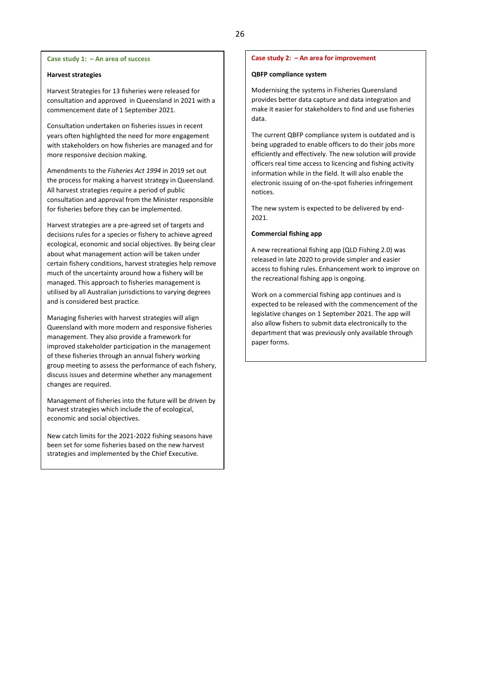#### **Harvest strategies**

Harvest Strategies for 13 fisheries were released for consultation and approved in Queensland in 2021 with a commencement date of 1 September 2021.

Consultation undertaken on fisheries issues in recent years often highlighted the need for more engagement with stakeholders on how fisheries are managed and for more responsive decision making.

Amendments to the *Fisheries Act 1994* in 2019 set out the process for making a harvest strategy in Queensland. All harvest strategies require a period of public consultation and approval from the Minister responsible for fisheries before they can be implemented.

Harvest strategies are a pre-agreed set of targets and decisions rules for a species or fishery to achieve agreed ecological, economic and social objectives. By being clear about what management action will be taken under certain fishery conditions, harvest strategies help remove much of the uncertainty around how a fishery will be managed. This approach to fisheries management is utilised by all Australian jurisdictions to varying degrees and is considered best practice.

Managing fisheries with harvest strategies will align Queensland with more modern and responsive fisheries management. They also provide a framework for improved stakeholder participation in the management of these fisheries through an annual fishery working group meeting to assess the performance of each fishery, discuss issues and determine whether any management changes are required.

Management of fisheries into the future will be driven by harvest strategies which include the of ecological, economic and social objectives.

New catch limits for the 2021-2022 fishing seasons have been set for some fisheries based on the new harvest strategies and implemented by the Chief Executive.

#### **Case study 2: – An area for improvement**

#### **QBFP compliance system**

Modernising the systems in Fisheries Queensland provides better data capture and data integration and make it easier for stakeholders to find and use fisheries data.

The current QBFP compliance system is outdated and is being upgraded to enable officers to do their jobs more efficiently and effectively. The new solution will provide officers real time access to licencing and fishing activity information while in the field. It will also enable the electronic issuing of on-the-spot fisheries infringement notices.

The new system is expected to be delivered by end-2021.

#### **Commercial fishing app**

A new recreational fishing app (QLD Fishing 2.0) was released in late 2020 to provide simpler and easier access to fishing rules. Enhancement work to improve on the recreational fishing app is ongoing.

Work on a commercial fishing app continues and is expected to be released with the commencement of the legislative changes on 1 September 2021. The app will also allow fishers to submit data electronically to the department that was previously only available through paper forms.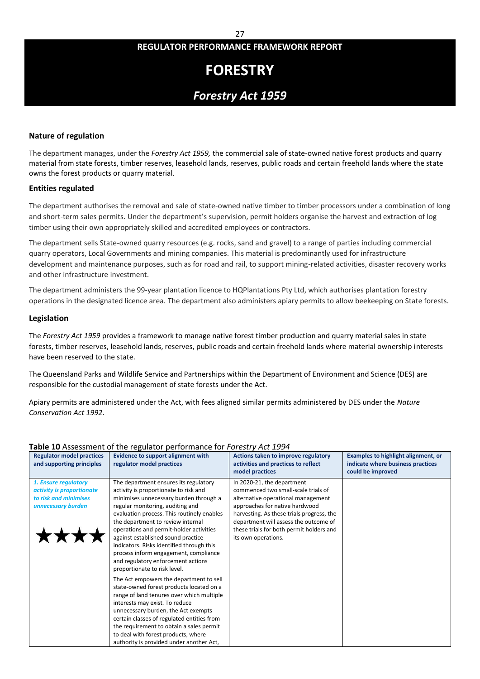# **FORESTRY**

# *Forestry Act 1959*

## **Nature of regulation**

The department manages, under the *Forestry Act 1959,* the commercial sale of state-owned native forest products and quarry material from state forests, timber reserves, leasehold lands, reserves, public roads and certain freehold lands where the state owns the forest products or quarry material.

### **Entities regulated**

The department authorises the removal and sale of state-owned native timber to timber processors under a combination of long and short-term sales permits. Under the department's supervision, permit holders organise the harvest and extraction of log timber using their own appropriately skilled and accredited employees or contractors.

The department sells State-owned quarry resources (e.g. rocks, sand and gravel) to a range of parties including commercial quarry operators, Local Governments and mining companies. This material is predominantly used for infrastructure development and maintenance purposes, such as for road and rail, to support mining-related activities, disaster recovery works and other infrastructure investment.

The department administers the 99-year plantation licence to HQPlantations Pty Ltd, which authorises plantation forestry operations in the designated licence area. The department also administers apiary permits to allow beekeeping on State forests.

#### **Legislation**

The *Forestry Act 1959* provides a framework to manage native forest timber production and quarry material sales in state forests, timber reserves, leasehold lands, reserves, public roads and certain freehold lands where material ownership interests have been reserved to the state.

The Queensland Parks and Wildlife Service and Partnerships within the Department of Environment and Science (DES) are responsible for the custodial management of state forests under the Act.

Apiary permits are administered under the Act, with fees aligned similar permits administered by DES under the *Nature Conservation Act 1992*.

# **Table 10** Assessment of the regulator performance for *Forestry Act 1994*

| <b>Regulator model practices</b><br>and supporting principles                                    | <b>Evidence to support alignment with</b><br>regulator model practices                                                                                                                                                                                                                                                                                                                                                                                                                       | Actions taken to improve regulatory<br>activities and practices to reflect<br>model practices                                                                                                                                                                                                      | Examples to highlight alignment, or<br>indicate where business practices<br>could be improved |
|--------------------------------------------------------------------------------------------------|----------------------------------------------------------------------------------------------------------------------------------------------------------------------------------------------------------------------------------------------------------------------------------------------------------------------------------------------------------------------------------------------------------------------------------------------------------------------------------------------|----------------------------------------------------------------------------------------------------------------------------------------------------------------------------------------------------------------------------------------------------------------------------------------------------|-----------------------------------------------------------------------------------------------|
| 1. Ensure regulatory<br>activity is proportionate<br>to risk and minimises<br>unnecessary burden | The department ensures its regulatory<br>activity is proportionate to risk and<br>minimises unnecessary burden through a<br>regular monitoring, auditing and<br>evaluation process. This routinely enables<br>the department to review internal<br>operations and permit-holder activities<br>against established sound practice<br>indicators. Risks identified through this<br>process inform engagement, compliance<br>and regulatory enforcement actions<br>proportionate to risk level. | In 2020-21, the department<br>commenced two small-scale trials of<br>alternative operational management<br>approaches for native hardwood<br>harvesting. As these trials progress, the<br>department will assess the outcome of<br>these trials for both permit holders and<br>its own operations. |                                                                                               |
|                                                                                                  | The Act empowers the department to sell<br>state-owned forest products located on a<br>range of land tenures over which multiple<br>interests may exist. To reduce<br>unnecessary burden, the Act exempts<br>certain classes of regulated entities from<br>the requirement to obtain a sales permit<br>to deal with forest products, where<br>authority is provided under another Act,                                                                                                       |                                                                                                                                                                                                                                                                                                    |                                                                                               |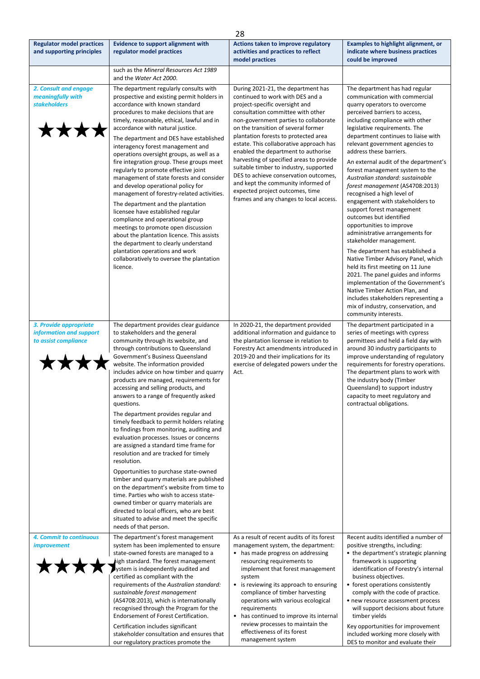|                                                                           |                                                                                                                                                                                                                                                                                                                                                                                                                                                                                                                                                                                                                                                                                                                                                                                                                                                                                                                                                                                                                                            | 28                                                                                                                                                                                                                                                                                                                                                                                                                                                                                                                                                                                                         |                                                                                                                                                                                                                                                                                                                                                                                                                                                                                                                                                                                                                                                                                                                                                                                                                                                                                                                                                                                                                     |
|---------------------------------------------------------------------------|--------------------------------------------------------------------------------------------------------------------------------------------------------------------------------------------------------------------------------------------------------------------------------------------------------------------------------------------------------------------------------------------------------------------------------------------------------------------------------------------------------------------------------------------------------------------------------------------------------------------------------------------------------------------------------------------------------------------------------------------------------------------------------------------------------------------------------------------------------------------------------------------------------------------------------------------------------------------------------------------------------------------------------------------|------------------------------------------------------------------------------------------------------------------------------------------------------------------------------------------------------------------------------------------------------------------------------------------------------------------------------------------------------------------------------------------------------------------------------------------------------------------------------------------------------------------------------------------------------------------------------------------------------------|---------------------------------------------------------------------------------------------------------------------------------------------------------------------------------------------------------------------------------------------------------------------------------------------------------------------------------------------------------------------------------------------------------------------------------------------------------------------------------------------------------------------------------------------------------------------------------------------------------------------------------------------------------------------------------------------------------------------------------------------------------------------------------------------------------------------------------------------------------------------------------------------------------------------------------------------------------------------------------------------------------------------|
| <b>Regulator model practices</b><br>and supporting principles             | <b>Evidence to support alignment with</b><br>regulator model practices                                                                                                                                                                                                                                                                                                                                                                                                                                                                                                                                                                                                                                                                                                                                                                                                                                                                                                                                                                     | Actions taken to improve regulatory<br>activities and practices to reflect<br>model practices                                                                                                                                                                                                                                                                                                                                                                                                                                                                                                              | <b>Examples to highlight alignment, or</b><br>indicate where business practices<br>could be improved                                                                                                                                                                                                                                                                                                                                                                                                                                                                                                                                                                                                                                                                                                                                                                                                                                                                                                                |
|                                                                           | such as the Mineral Resources Act 1989<br>and the Water Act 2000.                                                                                                                                                                                                                                                                                                                                                                                                                                                                                                                                                                                                                                                                                                                                                                                                                                                                                                                                                                          |                                                                                                                                                                                                                                                                                                                                                                                                                                                                                                                                                                                                            |                                                                                                                                                                                                                                                                                                                                                                                                                                                                                                                                                                                                                                                                                                                                                                                                                                                                                                                                                                                                                     |
| 2. Consult and engage<br>meaningfully with<br><b>stakeholders</b>         | The department regularly consults with<br>prospective and existing permit holders in<br>accordance with known standard<br>procedures to make decisions that are<br>timely, reasonable, ethical, lawful and in<br>accordance with natural justice.<br>The department and DES have established<br>interagency forest management and<br>operations oversight groups, as well as a<br>fire integration group. These groups meet<br>regularly to promote effective joint<br>management of state forests and consider<br>and develop operational policy for<br>management of forestry-related activities.<br>The department and the plantation<br>licensee have established regular<br>compliance and operational group<br>meetings to promote open discussion<br>about the plantation licence. This assists<br>the department to clearly understand<br>plantation operations and work<br>collaboratively to oversee the plantation<br>licence.                                                                                                  | During 2021-21, the department has<br>continued to work with DES and a<br>project-specific oversight and<br>consultation committee with other<br>non-government parties to collaborate<br>on the transition of several former<br>plantation forests to protected area<br>estate. This collaborative approach has<br>enabled the department to authorise<br>harvesting of specified areas to provide<br>suitable timber to industry, supported<br>DES to achieve conservation outcomes,<br>and kept the community informed of<br>expected project outcomes, time<br>frames and any changes to local access. | The department has had regular<br>communication with commercial<br>quarry operators to overcome<br>perceived barriers to access,<br>including compliance with other<br>legislative requirements. The<br>department continues to liaise with<br>relevant government agencies to<br>address these barriers.<br>An external audit of the department's<br>forest management system to the<br>Australian standard: sustainable<br>forest management (AS4708:2013)<br>recognised a high level of<br>engagement with stakeholders to<br>support forest management<br>outcomes but identified<br>opportunities to improve<br>administrative arrangements for<br>stakeholder management.<br>The department has established a<br>Native Timber Advisory Panel, which<br>held its first meeting on 11 June<br>2021. The panel guides and informs<br>implementation of the Government's<br>Native Timber Action Plan, and<br>includes stakeholders representing a<br>mix of industry, conservation, and<br>community interests. |
| 3. Provide appropriate<br>information and support<br>to assist compliance | The department provides clear guidance<br>to stakeholders and the general<br>community through its website, and<br>through contributions to Queensland<br>Government's Business Queensland<br>website. The information provided<br>includes advice on how timber and quarry<br>products are managed, requirements for<br>accessing and selling products, and<br>answers to a range of frequently asked<br>questions.<br>The department provides regular and<br>timely feedback to permit holders relating<br>to findings from monitoring, auditing and<br>evaluation processes. Issues or concerns<br>are assigned a standard time frame for<br>resolution and are tracked for timely<br>resolution.<br>Opportunities to purchase state-owned<br>timber and quarry materials are published<br>on the department's website from time to<br>time. Parties who wish to access state-<br>owned timber or quarry materials are<br>directed to local officers, who are best<br>situated to advise and meet the specific<br>needs of that person. | In 2020-21, the department provided<br>additional information and guidance to<br>the plantation licensee in relation to<br>Forestry Act amendments introduced in<br>2019-20 and their implications for its<br>exercise of delegated powers under the<br>Act.                                                                                                                                                                                                                                                                                                                                               | The department participated in a<br>series of meetings with cypress<br>permittees and held a field day with<br>around 30 industry participants to<br>improve understanding of regulatory<br>requirements for forestry operations.<br>The department plans to work with<br>the industry body (Timber<br>Queensland) to support industry<br>capacity to meet regulatory and<br>contractual obligations.                                                                                                                                                                                                                                                                                                                                                                                                                                                                                                                                                                                                               |
| 4. Commit to continuous<br><i>improvement</i>                             | The department's forest management<br>system has been implemented to ensure<br>state-owned forests are managed to a<br>high standard. The forest management<br>lystem is independently audited and<br>certified as compliant with the<br>requirements of the Australian standard:<br>sustainable forest management<br>(AS4708:2013), which is internationally<br>recognised through the Program for the<br>Endorsement of Forest Certification.<br>Certification includes significant<br>stakeholder consultation and ensures that<br>our regulatory practices promote the                                                                                                                                                                                                                                                                                                                                                                                                                                                                 | As a result of recent audits of its forest<br>management system, the department:<br>• has made progress on addressing<br>resourcing requirements to<br>implement that forest management<br>system<br>• is reviewing its approach to ensuring<br>compliance of timber harvesting<br>operations with various ecological<br>requirements<br>• has continued to improve its internal<br>review processes to maintain the<br>effectiveness of its forest<br>management system                                                                                                                                   | Recent audits identified a number of<br>positive strengths, including:<br>• the department's strategic planning<br>framework is supporting<br>identification of Forestry's internal<br>business objectives.<br>• forest operations consistently<br>comply with the code of practice.<br>• new resource assessment process<br>will support decisions about future<br>timber yields<br>Key opportunities for improvement<br>included working more closely with<br>DES to monitor and evaluate their                                                                                                                                                                                                                                                                                                                                                                                                                                                                                                                   |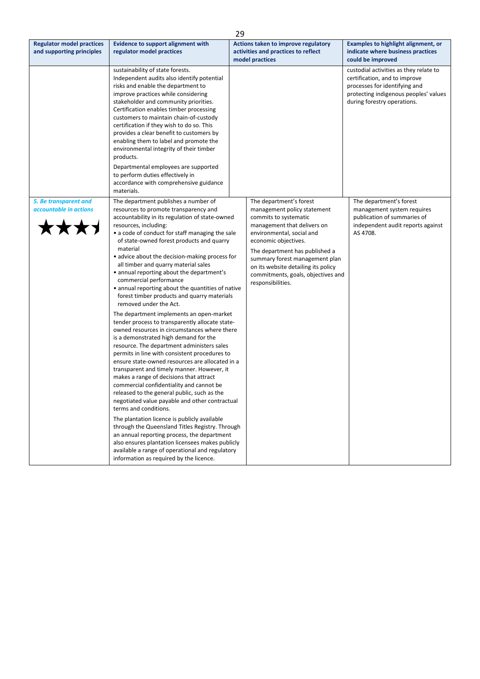| 29                                                             |                                                                                                                                                                                                                                                                                                                                                                                                                                                                                                                                                                                                                                                                                                                                                                                                                                                                                                                                                                                                                                                                                                                                                                                                                                                                                                                                                                                                                                                                                   |                                                                                                                                                                                                                                                                                                                                           |                                                                                                                                                                                  |
|----------------------------------------------------------------|-----------------------------------------------------------------------------------------------------------------------------------------------------------------------------------------------------------------------------------------------------------------------------------------------------------------------------------------------------------------------------------------------------------------------------------------------------------------------------------------------------------------------------------------------------------------------------------------------------------------------------------------------------------------------------------------------------------------------------------------------------------------------------------------------------------------------------------------------------------------------------------------------------------------------------------------------------------------------------------------------------------------------------------------------------------------------------------------------------------------------------------------------------------------------------------------------------------------------------------------------------------------------------------------------------------------------------------------------------------------------------------------------------------------------------------------------------------------------------------|-------------------------------------------------------------------------------------------------------------------------------------------------------------------------------------------------------------------------------------------------------------------------------------------------------------------------------------------|----------------------------------------------------------------------------------------------------------------------------------------------------------------------------------|
| <b>Regulator model practices</b><br>and supporting principles  | <b>Evidence to support alignment with</b><br>regulator model practices                                                                                                                                                                                                                                                                                                                                                                                                                                                                                                                                                                                                                                                                                                                                                                                                                                                                                                                                                                                                                                                                                                                                                                                                                                                                                                                                                                                                            | Actions taken to improve regulatory<br>activities and practices to reflect<br>model practices                                                                                                                                                                                                                                             | <b>Examples to highlight alignment, or</b><br>indicate where business practices<br>could be improved                                                                             |
|                                                                | sustainability of state forests.<br>Independent audits also identify potential<br>risks and enable the department to<br>improve practices while considering<br>stakeholder and community priorities.<br>Certification enables timber processing<br>customers to maintain chain-of-custody<br>certification if they wish to do so. This<br>provides a clear benefit to customers by<br>enabling them to label and promote the<br>environmental integrity of their timber<br>products.<br>Departmental employees are supported<br>to perform duties effectively in<br>accordance with comprehensive guidance<br>materials.                                                                                                                                                                                                                                                                                                                                                                                                                                                                                                                                                                                                                                                                                                                                                                                                                                                          |                                                                                                                                                                                                                                                                                                                                           | custodial activities as they relate to<br>certification, and to improve<br>processes for identifying and<br>protecting indigenous peoples' values<br>during forestry operations. |
| 5. Be transparent and<br>accountable in actions<br><b>TXXY</b> | The department publishes a number of<br>resources to promote transparency and<br>accountability in its regulation of state-owned<br>resources, including:<br>• a code of conduct for staff managing the sale<br>of state-owned forest products and quarry<br>material<br>• advice about the decision-making process for<br>all timber and quarry material sales<br>• annual reporting about the department's<br>commercial performance<br>• annual reporting about the quantities of native<br>forest timber products and quarry materials<br>removed under the Act.<br>The department implements an open-market<br>tender process to transparently allocate state-<br>owned resources in circumstances where there<br>is a demonstrated high demand for the<br>resource. The department administers sales<br>permits in line with consistent procedures to<br>ensure state-owned resources are allocated in a<br>transparent and timely manner. However, it<br>makes a range of decisions that attract<br>commercial confidentiality and cannot be<br>released to the general public, such as the<br>negotiated value payable and other contractual<br>terms and conditions.<br>The plantation licence is publicly available<br>through the Queensland Titles Registry. Through<br>an annual reporting process, the department<br>also ensures plantation licensees makes publicly<br>available a range of operational and regulatory<br>information as required by the licence. | The department's forest<br>management policy statement<br>commits to systematic<br>management that delivers on<br>environmental, social and<br>economic objectives.<br>The department has published a<br>summary forest management plan<br>on its website detailing its policy<br>commitments, goals, objectives and<br>responsibilities. | The department's forest<br>management system requires<br>publication of summaries of<br>independent audit reports against<br>AS 4708.                                            |